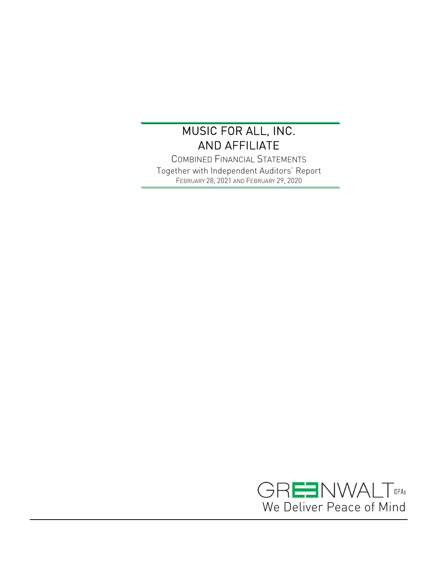$\overline{a}$ 

COMBINED FINANCIAL STATEMENTS Together with Independent Auditors' Report FEBRUARY 28, 2021 AND FEBRUARY 29, 2020

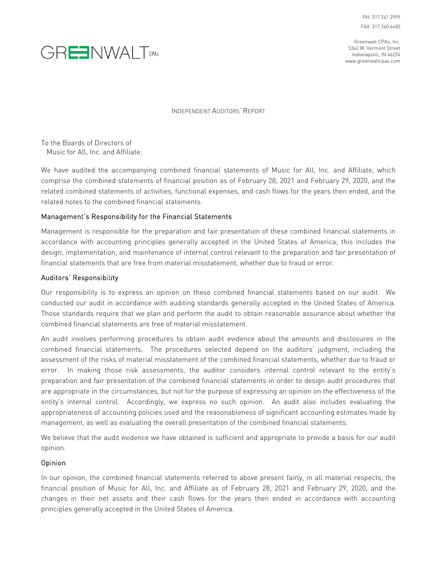



INDEPENDENT AUDITORS' REPORT

To the Boards of Directors of Music for All, Inc. and Affiliate:

We have audited the accompanying combined financial statements of Music for All, Inc. and Affiliate, which comprise the combined statements of financial position as of February 28, 2021 and February 29, 2020, and the related combined statements of activities, functional expenses, and cash flows for the years then ended, and the related notes to the combined financial statements.

#### Management's Responsibility for the Financial Statements

Management is responsible for the preparation and fair presentation of these combined financial statements in accordance with accounting principles generally accepted in the United States of America; this includes the design, implementation, and maintenance of internal control relevant to the preparation and fair presentation of financial statements that are free from material misstatement, whether due to fraud or error.

#### Auditors' Responsibility

Our responsibility is to express an opinion on these combined financial statements based on our audit. We conducted our audit in accordance with auditing standards generally accepted in the United States of America. Those standards require that we plan and perform the audit to obtain reasonable assurance about whether the combined financial statements are free of material misstatement.

An audit involves performing procedures to obtain audit evidence about the amounts and disclosures in the combined financial statements. The procedures selected depend on the auditors' judgment, including the assessment of the risks of material misstatement of the combined financial statements, whether due to fraud or error. In making those risk assessments, the auditor considers internal control relevant to the entity's preparation and fair presentation of the combined financial statements in order to design audit procedures that are appropriate in the circumstances, but not for the purpose of expressing an opinion on the effectiveness of the entity's internal control. Accordingly, we express no such opinion. An audit also includes evaluating the appropriateness of accounting policies used and the reasonableness of significant accounting estimates made by management, as well as evaluating the overall presentation of the combined financial statements.

We believe that the audit evidence we have obtained is sufficient and appropriate to provide a basis for our audit opinion.

#### Opinion

In our opinion, the combined financial statements referred to above present fairly, in all material respects, the financial position of Music for All, Inc. and Affiliate as of February 28, 2021 and February 29, 2020, and the changes in their net assets and their cash flows for the years then ended in accordance with accounting principles generally accepted in the United States of America.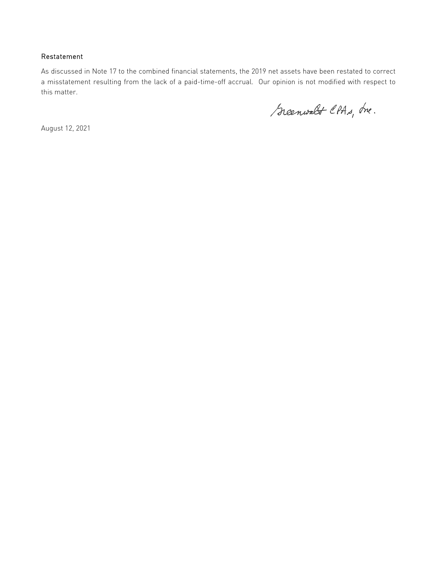#### Restatement

As discussed in Note 17 to the combined financial statements, the 2019 net assets have been restated to correct a misstatement resulting from the lack of a paid-time-off accrual. Our opinion is not modified with respect to this matter.

Scenwalt CPAs, Ine.

August 12, 2021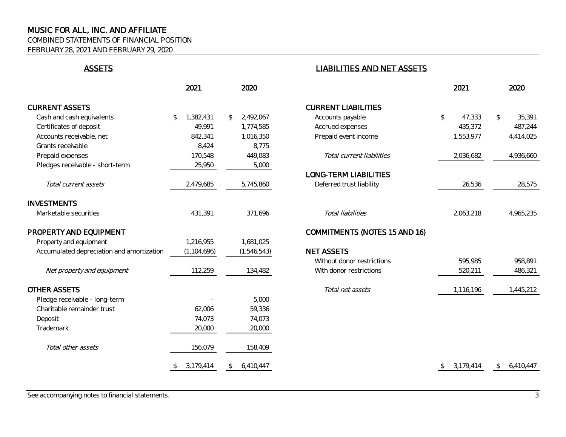COMBINED STATEMENTS OF FINANCIAL POSITION

FEBRUARY 28, 2021 AND FEBRUARY 29, 2020

|                                           | 2021            | 2020            |                                      | 2021         | 2020                      |
|-------------------------------------------|-----------------|-----------------|--------------------------------------|--------------|---------------------------|
| <b>CURRENT ASSETS</b>                     |                 |                 | <b>CURRENT LIABILITIES</b>           |              |                           |
| Cash and cash equivalents                 | 1,382,431<br>\$ | 2,492,067<br>\$ | Accounts payable                     | 47,333<br>\$ | 35,391<br>\$              |
| Certificates of deposit                   | 49,991          | 1,774,585       | Accrued expenses                     | 435,372      | 487,244                   |
| Accounts receivable, net                  | 842,341         | 1,016,350       | Prepaid event income                 | 1,553,977    | 4,414,025                 |
| Grants receivable                         | 8,424           | 8,775           |                                      |              |                           |
| Prepaid expenses                          | 170,548         | 449,083         | Total current liabilities            | 2,036,682    | 4,936,660                 |
| Pledges receivable - short-term           | 25,950          | 5,000           |                                      |              |                           |
|                                           |                 |                 | <b>LONG-TERM LIABILITIES</b>         |              |                           |
| Total current assets                      | 2,479,685       | 5,745,860       | Deferred trust liability             | 26,536       | 28,575                    |
| <b>INVESTMENTS</b>                        |                 |                 |                                      |              |                           |
| Marketable securities                     | 431,391         | 371,696         | Total liabilities                    | 2,063,218    | 4,965,235                 |
| PROPERTY AND EQUIPMENT                    |                 |                 | <b>COMMITMENTS (NOTES 15 AND 16)</b> |              |                           |
| Property and equipment                    | 1,216,955       | 1,681,025       |                                      |              |                           |
| Accumulated depreciation and amortization | (1, 104, 696)   | (1, 546, 543)   | <b>NET ASSETS</b>                    |              |                           |
|                                           |                 |                 | Without donor restrictions           | 595,985      | 958,891                   |
| Net property and equipment                | 112,259         | 134,482         | With donor restrictions              | 520,211      | 486,321                   |
| <b>OTHER ASSETS</b>                       |                 |                 | Total net assets                     | 1,116,196    | 1,445,212                 |
| Pledge receivable - long-term             |                 | 5,000           |                                      |              |                           |
| Charitable remainder trust                | 62,006          | 59,336          |                                      |              |                           |
| Deposit                                   | 74,073          | 74,073          |                                      |              |                           |
| Trademark                                 | 20,000          | 20,000          |                                      |              |                           |
| Total other assets                        | 156,079         | 158,409         |                                      |              |                           |
|                                           | 3,179,414       | 6,410,447<br>\$ |                                      | 3,179,414    | 6,410,447<br>$\mathbb{S}$ |

# ASSETS LIABILITIES AND NET ASSETS

|                                         | 2021            | 2020                      |                                      | 2021            | 2020                    |
|-----------------------------------------|-----------------|---------------------------|--------------------------------------|-----------------|-------------------------|
| <b>ENT ASSETS</b>                       |                 |                           | <b>CURRENT LIABILITIES</b>           |                 |                         |
| sh and cash equivalents                 | 1,382,431<br>\$ | 2,492,067<br>$\mathbb{S}$ | Accounts payable                     | \$<br>47,333    | $\mathcal{L}$<br>35,391 |
| tificates of deposit                    | 49,991          | 1,774,585                 | Accrued expenses                     | 435,372         | 487,244                 |
| counts receivable, net                  | 842,341         | 1,016,350                 | Prepaid event income                 | 1,553,977       | 4,414,025               |
| ints receivable                         | 8,424           | 8,775                     |                                      |                 |                         |
| paid expenses                           | 170,548         | 449,083                   | Total current liabilities            | 2,036,682       | 4,936,660               |
| dges receivable - short-term            | 25,950          | 5,000                     |                                      |                 |                         |
|                                         |                 |                           | <b>LONG-TERM LIABILITIES</b>         |                 |                         |
| Total current assets                    | 2,479,685       | 5,745,860                 | Deferred trust liability             | 26,536          | 28,575                  |
| STMENTS                                 |                 |                           |                                      |                 |                         |
| rketable securities                     | 431,391         | 371,696                   | Total liabilities                    | 2,063,218       | 4,965,235               |
| <b>ERTY AND EQUIPMENT</b>               |                 |                           | <b>COMMITMENTS (NOTES 15 AND 16)</b> |                 |                         |
| perty and equipment                     | 1,216,955       | 1,681,025                 |                                      |                 |                         |
| cumulated depreciation and amortization | (1, 104, 696)   | (1, 546, 543)             | <b>NET ASSETS</b>                    |                 |                         |
|                                         |                 |                           | Without donor restrictions           | 595,985         | 958,891                 |
| Net property and equipment              | 112,259         | 134,482                   | With donor restrictions              | 520,211         | 486,321                 |
| R ASSETS                                |                 |                           | Total net assets                     | 1,116,196       | 1,445,212               |
| dge receivable - long-term              |                 | 5,000                     |                                      |                 |                         |
| aritable remainder trust                | 62,006          | 59,336                    |                                      |                 |                         |
| posit                                   | 74,073          | 74,073                    |                                      |                 |                         |
| demark                                  | 20,000          | 20,000                    |                                      |                 |                         |
| Total other assets                      | 156,079         | 158,409                   |                                      |                 |                         |
|                                         | 3,179,414<br>\$ | 6,410,447<br>S.           |                                      | 3,179,414<br>\$ | 6,410,447<br>\$         |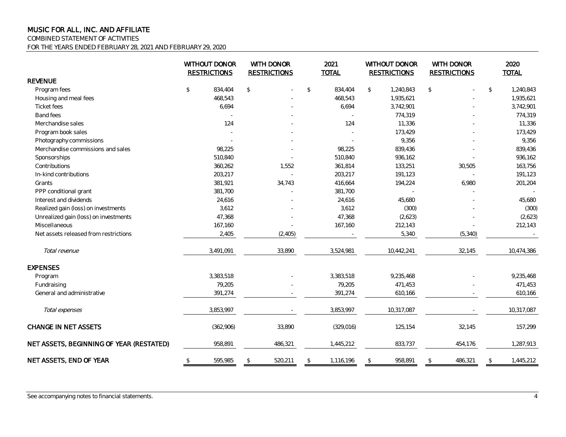COMBINED STATEMENT OF ACTIVITIES

FOR THE YEARS ENDED FEBRUARY 28, 2021 AND FEBRUARY 29, 2020

|                                          |                                               | WITHOUT DONOR<br>WITH DONOR<br><b>RESTRICTIONS</b><br><b>RESTRICTIONS</b> |               |          | 2021<br><b>TOTAL</b> |            | WITHOUT DONOR<br><b>RESTRICTIONS</b> |            | WITH DONOR<br><b>RESTRICTIONS</b> |          | 2020<br><b>TOTAL</b> |
|------------------------------------------|-----------------------------------------------|---------------------------------------------------------------------------|---------------|----------|----------------------|------------|--------------------------------------|------------|-----------------------------------|----------|----------------------|
| <b>REVENUE</b>                           |                                               |                                                                           |               |          |                      |            |                                      |            |                                   |          |                      |
| Program fees                             | $\, \, \raisebox{-1.5pt}{\ensuremath{\circ}}$ | 834,404                                                                   | $\sqrt{2}$    |          | $\mathfrak{P}$       | 834,404    | \$                                   | 1,240,843  | $\frac{1}{2}$                     |          | \$<br>1,240,843      |
| Housing and meal fees                    |                                               | 468,543                                                                   |               |          |                      | 468,543    |                                      | 1,935,621  |                                   |          | 1,935,621            |
| <b>Ticket fees</b>                       |                                               | 6,694                                                                     |               |          |                      | 6,694      |                                      | 3,742,901  |                                   |          | 3,742,901            |
| Band fees                                |                                               |                                                                           |               |          |                      |            |                                      | 774,319    |                                   |          | 774,319              |
| Merchandise sales                        |                                               | 124                                                                       |               |          |                      | 124        |                                      | 11,336     |                                   |          | 11,336               |
| Program book sales                       |                                               |                                                                           |               |          |                      |            |                                      | 173,429    |                                   |          | 173,429              |
| Photography commissions                  |                                               |                                                                           |               |          |                      |            |                                      | 9,356      |                                   |          | 9,356                |
| Merchandise commissions and sales        |                                               | 98,225                                                                    |               |          |                      | 98,225     |                                      | 839,436    |                                   |          | 839,436              |
| Sponsorships                             |                                               | 510,840                                                                   |               |          |                      | 510,840    |                                      | 936,162    |                                   |          | 936,162              |
| Contributions                            |                                               | 360,262                                                                   |               | 1,552    |                      | 361,814    |                                      | 133,251    |                                   | 30,505   | 163,756              |
| In-kind contributions                    |                                               | 203,217                                                                   |               |          |                      | 203,217    |                                      | 191,123    |                                   |          | 191,123              |
| Grants                                   |                                               | 381,921                                                                   |               | 34,743   |                      | 416,664    |                                      | 194,224    |                                   | 6,980    | 201,204              |
| PPP conditional grant                    |                                               | 381,700                                                                   |               |          |                      | 381,700    |                                      |            |                                   |          |                      |
| Interest and dividends                   |                                               | 24,616                                                                    |               |          |                      | 24,616     |                                      | 45,680     |                                   |          | 45,680               |
| Realized gain (loss) on investments      |                                               | 3,612                                                                     |               |          |                      | 3,612      |                                      | (300)      |                                   |          | (300)                |
| Unrealized gain (loss) on investments    |                                               | 47,368                                                                    |               |          |                      | 47,368     |                                      | (2,623)    |                                   |          | (2,623)              |
| Miscellaneous                            |                                               | 167,160                                                                   |               |          |                      | 167,160    |                                      | 212,143    |                                   |          | 212,143              |
| Net assets released from restrictions    |                                               | 2,405                                                                     |               | (2, 405) |                      |            |                                      | 5,340      |                                   | (5, 340) |                      |
| Total revenue                            |                                               | 3,491,091                                                                 |               | 33,890   |                      | 3,524,981  |                                      | 10,442,241 |                                   | 32,145   | 10,474,386           |
| <b>EXPENSES</b>                          |                                               |                                                                           |               |          |                      |            |                                      |            |                                   |          |                      |
| Program                                  |                                               | 3,383,518                                                                 |               |          |                      | 3,383,518  |                                      | 9,235,468  |                                   |          | 9,235,468            |
| Fundraising                              |                                               | 79,205                                                                    |               |          |                      | 79,205     |                                      | 471,453    |                                   |          | 471,453              |
| General and administrative               |                                               | 391,274                                                                   |               |          |                      | 391,274    |                                      | 610,166    |                                   |          | 610,166              |
| Total expenses                           |                                               | 3,853,997                                                                 |               |          |                      | 3,853,997  |                                      | 10,317,087 |                                   |          | 10,317,087           |
| <b>CHANGE IN NET ASSETS</b>              |                                               | (362,906)                                                                 |               | 33,890   |                      | (329, 016) |                                      | 125,154    |                                   | 32,145   | 157,299              |
| NET ASSETS, BEGINNING OF YEAR (RESTATED) |                                               | 958,891                                                                   |               | 486,321  |                      | 1,445,212  |                                      | 833,737    |                                   | 454,176  | 1,287,913            |
| NET ASSETS, END OF YEAR                  | \$                                            | 595,985                                                                   | $\mathcal{L}$ | 520,211  | $\mathfrak{D}$       | 1,116,196  | \$                                   | 958,891    | $\frac{1}{2}$                     | 486,321  | \$<br>1,445,212      |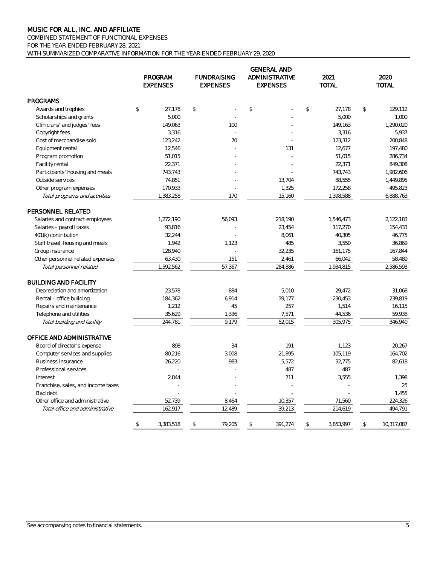COMBINED STATEMENT OF FUNCTIONAL EXPENSES FOR THE YEAR ENDED FEBRUARY 28, 2021 WITH SUMMARIZED COMPARATIVE INFORMATION FOR THE YEAR ENDED FEBRUARY 29, 2020

|                                    | PROGRAM<br><b>EXPENSES</b>  | <b>FUNDRAISING</b><br><b>EXPENSES</b> | <b>GENERAL AND</b><br><b>ADMINISTRATIVE</b><br><b>EXPENSES</b> | 2021<br><b>TOTAL</b>        | 2020<br>TOTAL    |
|------------------------------------|-----------------------------|---------------------------------------|----------------------------------------------------------------|-----------------------------|------------------|
| <b>PROGRAMS</b>                    |                             |                                       |                                                                |                             |                  |
| Awards and trophies                | $$\mathbb{S}$$<br>27.178    | $\mathbb{S}$                          | \$                                                             | $\mathcal{L}$<br>27.178     | \$<br>129,112    |
| Scholarships and grants            | 5,000                       |                                       |                                                                | 5,000                       | 1,000            |
| Clinicians' and judges' fees       | 149,063                     | 100                                   |                                                                | 149,163                     | 1,290,020        |
| Copyright fees                     | 3,316                       |                                       |                                                                | 3,316                       | 5.937            |
| Cost of merchandise sold           | 123,242                     | 70                                    |                                                                | 123,312                     | 200,848          |
| Equipment rental                   | 12,546                      |                                       | 131                                                            | 12,677                      | 197,480          |
| Program promotion                  | 51,015                      |                                       |                                                                | 51,015                      | 286,734          |
| Facility rental                    | 22,371                      |                                       |                                                                | 22,371                      | 849,308          |
| Participants' housing and meals    | 743,743                     |                                       |                                                                | 743,743                     | 1,982,606        |
| Outside services                   | 74,851                      |                                       | 13,704                                                         | 88,555                      | 1,449,895        |
| Other program expenses             | 170,933                     |                                       | 1,325                                                          | 172,258                     | 495,823          |
| Total programs and activities      | 1,383,258                   | 170                                   | 15,160                                                         | 1,398,588                   | 6,888,763        |
| PERSONNEL RELATED                  |                             |                                       |                                                                |                             |                  |
| Salaries and contract employees    | 1,272,190                   | 56,093                                | 218,190                                                        | 1,546,473                   | 2,122,183        |
| Salaries - payroll taxes           | 93,816                      |                                       | 23,454                                                         | 117,270                     | 154,433          |
| 401(k) contribution                | 32,244                      |                                       | 8,061                                                          | 40,305                      | 46,775           |
| Staff travel, housing and meals    | 1,942                       | 1,123                                 | 485                                                            | 3,550                       | 36,869           |
| Group insurance                    | 128,940                     |                                       | 32,235<br>÷.                                                   | 161,175                     | 167,844          |
| Other personnel related expenses   | 63,430                      | 151                                   | 2,461                                                          | 66,042                      | 58,489           |
| Total personnel related            | 1,592,562                   | 57,367                                | 284,886                                                        | 1,934,815                   | 2,586,593        |
| <b>BUILDING AND FACILITY</b>       |                             |                                       |                                                                |                             |                  |
| Depreciation and amortization      | 23,578                      | 884                                   | 5,010                                                          | 29,472                      | 31,068           |
| Rental - office building           | 184,362                     | 6,914                                 | 39,177                                                         | 230,453                     | 239,819          |
| Repairs and maintenance            | 1,212                       | 45                                    | 257                                                            | 1,514                       | 16,115           |
| Telephone and utilities            | 35,629                      | 1,336                                 | 7,571                                                          | 44,536                      | 59,938           |
| Total building and facility        | 244,781                     | 9,179                                 | 52,015                                                         | 305,975                     | 346,940          |
| OFFICE AND ADMINISTRATIVE          |                             |                                       |                                                                |                             |                  |
| Board of director's expense        | 898                         | 34                                    | 191                                                            | 1.123                       | 20,267           |
| Computer services and supplies     | 80,216                      | 3,008                                 | 21,895                                                         | 105,119                     | 164,702          |
| Business insurance                 | 26,220                      | 983                                   | 5,572                                                          | 32,775                      | 82,618           |
| Professional services              |                             |                                       | 487                                                            | 487                         |                  |
| Interest                           | 2,844                       |                                       | 711                                                            | 3,555                       | 1,398            |
| Franchise, sales, and income taxes |                             |                                       |                                                                |                             | 25               |
| Bad debt                           |                             |                                       |                                                                |                             | 1,455            |
| Other office and administrative    | 52,739                      | 8,464                                 | 10,357                                                         | 71,560                      | 224,326          |
| Total office and administrative    | 162,917                     | 12,489                                | 39,213                                                         | 214,619                     | 494,791          |
|                                    | $$\mathbb{S}$$<br>3,383,518 | 79,205<br>\$                          | \$<br>391,274                                                  | $$\mathbb{S}$$<br>3,853,997 | 10,317,087<br>\$ |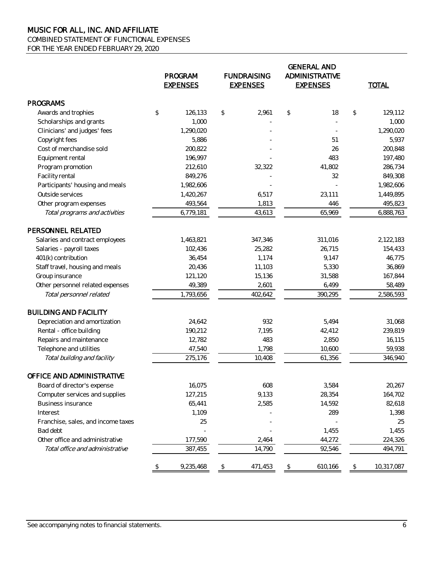COMBINED STATEMENT OF FUNCTIONAL EXPENSES

FOR THE YEAR ENDED FEBRUARY 29, 2020

|                                    |    | PROGRAM<br><b>EXPENSES</b> | <b>FUNDRAISING</b><br><b>EXPENSES</b> |         | <b>GENERAL AND</b><br><b>ADMINISTRATIVE</b><br><b>EXPENSES</b> |         |                | <b>TOTAL</b> |  |
|------------------------------------|----|----------------------------|---------------------------------------|---------|----------------------------------------------------------------|---------|----------------|--------------|--|
| <b>PROGRAMS</b>                    |    |                            |                                       |         |                                                                |         |                |              |  |
| Awards and trophies                | \$ | 126,133                    | \$                                    | 2,961   | \$                                                             | 18      | \$             | 129,112      |  |
| Scholarships and grants            |    | 1,000                      |                                       |         |                                                                |         |                | 1,000        |  |
| Clinicians' and judges' fees       |    | 1,290,020                  |                                       |         |                                                                |         |                | 1,290,020    |  |
| Copyright fees                     |    | 5,886                      |                                       |         |                                                                | 51      |                | 5,937        |  |
| Cost of merchandise sold           |    | 200,822                    |                                       |         |                                                                | 26      |                | 200,848      |  |
| Equipment rental                   |    | 196,997                    |                                       |         |                                                                | 483     |                | 197,480      |  |
| Program promotion                  |    | 212,610                    |                                       | 32,322  |                                                                | 41,802  |                | 286,734      |  |
| Facility rental                    |    | 849,276                    |                                       |         |                                                                | 32      |                | 849,308      |  |
| Participants' housing and meals    |    | 1,982,606                  |                                       |         |                                                                |         |                | 1,982,606    |  |
| Outside services                   |    | 1,420,267                  |                                       | 6,517   |                                                                | 23,111  |                | 1,449,895    |  |
| Other program expenses             |    | 493,564                    |                                       | 1,813   |                                                                | 446     |                | 495,823      |  |
| Total programs and activities      |    | 6,779,181                  |                                       | 43,613  |                                                                | 65,969  |                | 6,888,763    |  |
| PERSONNEL RELATED                  |    |                            |                                       |         |                                                                |         |                |              |  |
| Salaries and contract employees    |    | 1,463,821                  |                                       | 347,346 |                                                                | 311,016 |                | 2,122,183    |  |
| Salaries - payroll taxes           |    | 102,436                    |                                       | 25,282  |                                                                | 26,715  |                | 154,433      |  |
| 401(k) contribution                |    | 36,454                     |                                       | 1,174   |                                                                | 9,147   |                | 46,775       |  |
| Staff travel, housing and meals    |    | 20,436                     |                                       | 11,103  |                                                                | 5,330   |                | 36,869       |  |
| Group insurance                    |    | 121,120                    |                                       | 15,136  |                                                                | 31,588  |                | 167,844      |  |
| Other personnel related expenses   |    | 49,389                     |                                       | 2,601   |                                                                | 6,499   |                | 58,489       |  |
| Total personnel related            |    | 1,793,656                  |                                       | 402,642 |                                                                | 390,295 |                | 2,586,593    |  |
| <b>BUILDING AND FACILITY</b>       |    |                            |                                       |         |                                                                |         |                |              |  |
| Depreciation and amortization      |    | 24,642                     |                                       | 932     |                                                                | 5,494   |                | 31,068       |  |
| Rental - office building           |    | 190,212                    |                                       | 7,195   |                                                                | 42,412  |                | 239,819      |  |
| Repairs and maintenance            |    | 12,782                     |                                       | 483     |                                                                | 2,850   |                | 16,115       |  |
| Telephone and utilities            |    | 47,540                     |                                       | 1,798   |                                                                | 10,600  |                | 59,938       |  |
| Total building and facility        |    | 275,176                    |                                       | 10,408  |                                                                | 61,356  |                | 346,940      |  |
| OFFICE AND ADMINISTRATIVE          |    |                            |                                       |         |                                                                |         |                |              |  |
| Board of director's expense        |    | 16,075                     |                                       | 608     |                                                                | 3,584   |                | 20,267       |  |
| Computer services and supplies     |    | 127,215                    |                                       | 9,133   |                                                                | 28,354  |                | 164,702      |  |
| <b>Business insurance</b>          |    | 65,441                     |                                       | 2,585   |                                                                | 14,592  |                | 82,618       |  |
| Interest                           |    | 1,109                      |                                       |         |                                                                | 289     |                | 1,398        |  |
| Franchise, sales, and income taxes |    | 25                         |                                       |         |                                                                |         |                | 25           |  |
| Bad debt                           |    |                            |                                       |         |                                                                | 1,455   |                | 1,455        |  |
| Other office and administrative    |    | 177,590                    |                                       | 2,464   |                                                                | 44,272  |                | 224,326      |  |
| Total office and administrative    |    | 387,455                    |                                       | 14,790  |                                                                | 92,546  |                | 494,791      |  |
|                                    | \$ | 9,235,468                  | \$                                    | 471,453 | \$                                                             | 610,166 | $\updownarrow$ | 10,317,087   |  |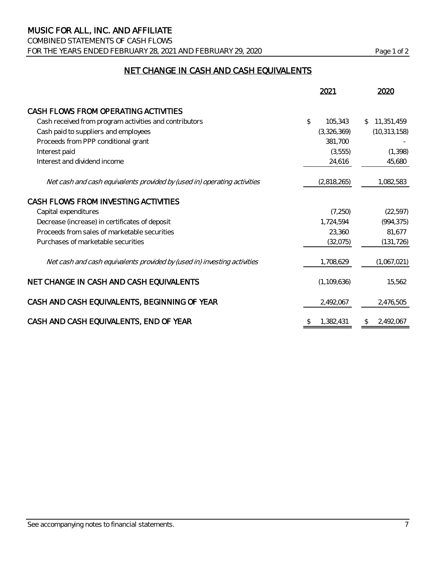COMBINED STATEMENTS OF CASH FLOWS FOR THE YEARS ENDED FEBRUARY 28, 2021 AND FEBRUARY 29, 2020 Page 1 of 2

# NET CHANGE IN CASH AND CASH EQUIVALENTS

|                                                                          | 2021            | 2020             |
|--------------------------------------------------------------------------|-----------------|------------------|
| CASH FLOWS FROM OPERATING ACTIVITIES                                     |                 |                  |
| Cash received from program activities and contributors                   | \$<br>105,343   | 11,351,459<br>S. |
| Cash paid to suppliers and employees                                     | (3,326,369)     | (10, 313, 158)   |
| Proceeds from PPP conditional grant                                      | 381,700         |                  |
| Interest paid                                                            | (3, 555)        | (1, 398)         |
| Interest and dividend income                                             | 24,616          | 45,680           |
| Net cash and cash equivalents provided by (used in) operating activities | (2,818,265)     | 1,082,583        |
| CASH FLOWS FROM INVESTING ACTIVITIES                                     |                 |                  |
| Capital expenditures                                                     | (7, 250)        | (22, 597)        |
| Decrease (increase) in certificates of deposit                           | 1,724,594       | (994, 375)       |
| Proceeds from sales of marketable securities                             | 23,360          | 81,677           |
| Purchases of marketable securities                                       | (32,075)        | (131, 726)       |
| Net cash and cash equivalents provided by (used in) investing activities | 1,708,629       | (1,067,021)      |
| NET CHANGE IN CASH AND CASH EQUIVALENTS                                  | (1, 109, 636)   | 15,562           |
| CASH AND CASH EQUIVALENTS, BEGINNING OF YEAR                             | 2,492,067       | 2,476,505        |
| CASH AND CASH EQUIVALENTS, END OF YEAR                                   | 1,382,431<br>\$ | 2,492,067<br>\$  |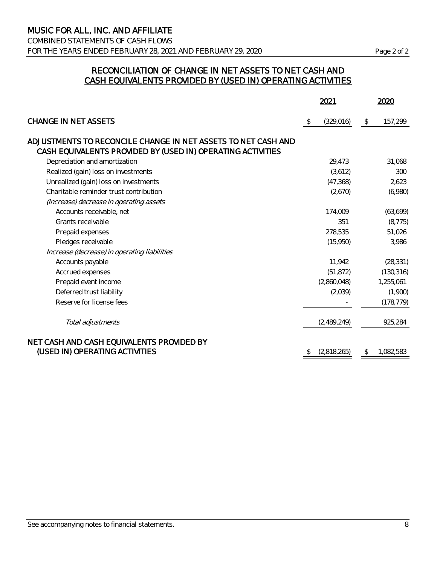COMBINED STATEMENTS OF CASH FLOWS FOR THE YEARS ENDED FEBRUARY 28, 2021 AND FEBRUARY 29, 2020 Page 2 of 2

## RECONCILIATION OF CHANGE IN NET ASSETS TO NET CASH AND CASH EQUIVALENTS PROVIDED BY (USED IN) OPERATING ACTIVITIES

|                                                               | 2021          |             |    | 2020       |
|---------------------------------------------------------------|---------------|-------------|----|------------|
| <b>CHANGE IN NET ASSETS</b>                                   | $\mathcal{L}$ | (329, 016)  | \$ | 157,299    |
| ADJUSTMENTS TO RECONCILE CHANGE IN NET ASSETS TO NET CASH AND |               |             |    |            |
| CASH EQUIVALENTS PROVIDED BY (USED IN) OPERATING ACTIVITIES   |               |             |    |            |
| Depreciation and amortization                                 |               | 29,473      |    | 31,068     |
| Realized (gain) loss on investments                           |               | (3,612)     |    | 300        |
| Unrealized (gain) loss on investments                         |               | (47, 368)   |    | 2,623      |
| Charitable reminder trust contribution                        |               | (2,670)     |    | (6,980)    |
| (Increase) decrease in operating assets                       |               |             |    |            |
| Accounts receivable, net                                      |               | 174,009     |    | (63, 699)  |
| Grants receivable                                             |               | 351         |    | (8, 775)   |
| Prepaid expenses                                              |               | 278,535     |    | 51,026     |
| Pledges receivable                                            |               | (15,950)    |    | 3,986      |
| Increase (decrease) in operating liabilities                  |               |             |    |            |
| Accounts payable                                              |               | 11,942      |    | (28, 331)  |
| Accrued expenses                                              |               | (51, 872)   |    | (130, 316) |
| Prepaid event income                                          |               | (2,860,048) |    | 1,255,061  |
| Deferred trust liability                                      |               | (2,039)     |    | (1,900)    |
| Reserve for license fees                                      |               |             |    | (178, 779) |
|                                                               |               |             |    |            |
| Total adjustments                                             |               | (2,489,249) |    | 925,284    |
| NET CASH AND CASH EQUIVALENTS PROVIDED BY                     |               |             |    |            |
| (USED IN) OPERATING ACTIVITIES                                |               | (2,818,265) | \$ | 1,082,583  |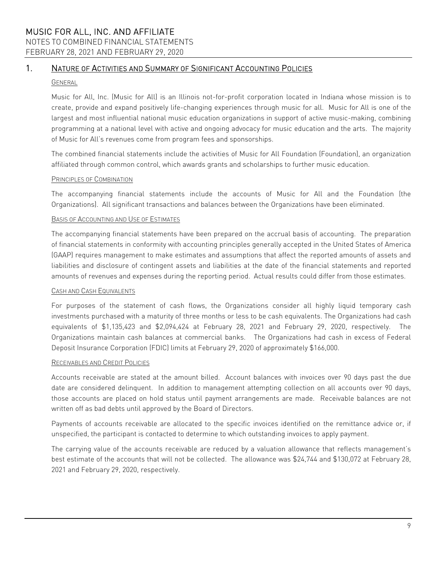NOTES TO COMBINED FINANCIAL STATEMENTS FEBRUARY 28, 2021 AND FEBRUARY 29, 2020

# 1. NATURE OF ACTIVITIES AND SUMMARY OF SIGNIFICANT ACCOUNTING POLICIES

#### GENERAL

Music for All, Inc. (Music for All) is an Illinois not-for-profit corporation located in Indiana whose mission is to create, provide and expand positively life-changing experiences through music for all. Music for All is one of the largest and most influential national music education organizations in support of active music-making, combining programming at a national level with active and ongoing advocacy for music education and the arts. The majority of Music for All's revenues come from program fees and sponsorships.

The combined financial statements include the activities of Music for All Foundation (Foundation), an organization affiliated through common control, which awards grants and scholarships to further music education.

#### PRINCIPLES OF COMBINATION

The accompanying financial statements include the accounts of Music for All and the Foundation (the Organizations). All significant transactions and balances between the Organizations have been eliminated.

#### BASIS OF ACCOUNTING AND USE OF ESTIMATES

The accompanying financial statements have been prepared on the accrual basis of accounting. The preparation of financial statements in conformity with accounting principles generally accepted in the United States of America (GAAP) requires management to make estimates and assumptions that affect the reported amounts of assets and liabilities and disclosure of contingent assets and liabilities at the date of the financial statements and reported amounts of revenues and expenses during the reporting period. Actual results could differ from those estimates.

#### CASH AND CASH EQUIVALENTS

For purposes of the statement of cash flows, the Organizations consider all highly liquid temporary cash investments purchased with a maturity of three months or less to be cash equivalents. The Organizations had cash equivalents of \$1,135,423 and \$2,094,424 at February 28, 2021 and February 29, 2020, respectively. The Organizations maintain cash balances at commercial banks. The Organizations had cash in excess of Federal Deposit Insurance Corporation (FDIC) limits at February 29, 2020 of approximately \$166,000.

#### RECEIVABLES AND CREDIT POLICIES

Accounts receivable are stated at the amount billed. Account balances with invoices over 90 days past the due date are considered delinquent. In addition to management attempting collection on all accounts over 90 days, those accounts are placed on hold status until payment arrangements are made. Receivable balances are not written off as bad debts until approved by the Board of Directors.

Payments of accounts receivable are allocated to the specific invoices identified on the remittance advice or, if unspecified, the participant is contacted to determine to which outstanding invoices to apply payment.

The carrying value of the accounts receivable are reduced by a valuation allowance that reflects management's best estimate of the accounts that will not be collected. The allowance was \$24,744 and \$130,072 at February 28, 2021 and February 29, 2020, respectively.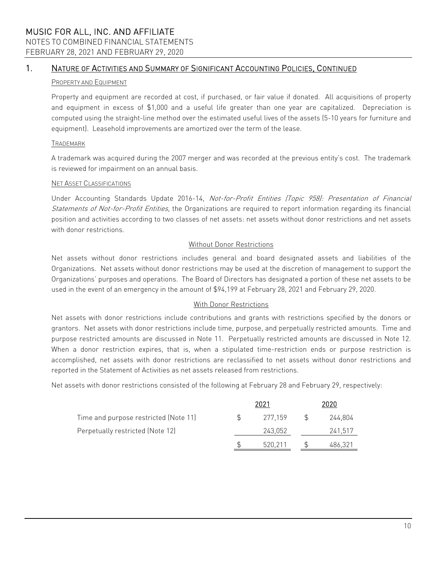NOTES TO COMBINED FINANCIAL STATEMENTS FEBRUARY 28, 2021 AND FEBRUARY 29, 2020

# 1. NATURE OF ACTIVITIES AND SUMMARY OF SIGNIFICANT ACCOUNTING POLICIES, CONTINUED

#### PROPERTY AND EQUIPMENT

Property and equipment are recorded at cost, if purchased, or fair value if donated. All acquisitions of property and equipment in excess of \$1,000 and a useful life greater than one year are capitalized. Depreciation is computed using the straight-line method over the estimated useful lives of the assets (5-10 years for furniture and equipment). Leasehold improvements are amortized over the term of the lease.

#### TRADEMARK

A trademark was acquired during the 2007 merger and was recorded at the previous entity's cost. The trademark is reviewed for impairment on an annual basis.

#### NET ASSET CLASSIFICATIONS

Under Accounting Standards Update 2016-14, Not-for-Profit Entities (Topic 958): Presentation of Financial Statements of Not-for-Profit Entities, the Organizations are required to report information regarding its financial position and activities according to two classes of net assets: net assets without donor restrictions and net assets with donor restrictions.

#### Without Donor Restrictions

Net assets without donor restrictions includes general and board designated assets and liabilities of the Organizations. Net assets without donor restrictions may be used at the discretion of management to support the Organizations' purposes and operations. The Board of Directors has designated a portion of these net assets to be used in the event of an emergency in the amount of \$94,199 at February 28, 2021 and February 29, 2020.

#### With Donor Restrictions

Net assets with donor restrictions include contributions and grants with restrictions specified by the donors or grantors. Net assets with donor restrictions include time, purpose, and perpetually restricted amounts. Time and purpose restricted amounts are discussed in Note 11. Perpetually restricted amounts are discussed in Note 12. When a donor restriction expires, that is, when a stipulated time-restriction ends or purpose restriction is accomplished, net assets with donor restrictions are reclassified to net assets without donor restrictions and reported in the Statement of Activities as net assets released from restrictions.

Net assets with donor restrictions consisted of the following at February 28 and February 29, respectively:

|                                       | 2021    | 2020    |
|---------------------------------------|---------|---------|
| Time and purpose restricted (Note 11) | 277.159 | 244.804 |
| Perpetually restricted (Note 12)      | 243,052 | 241.517 |
|                                       | 520.211 | 486.321 |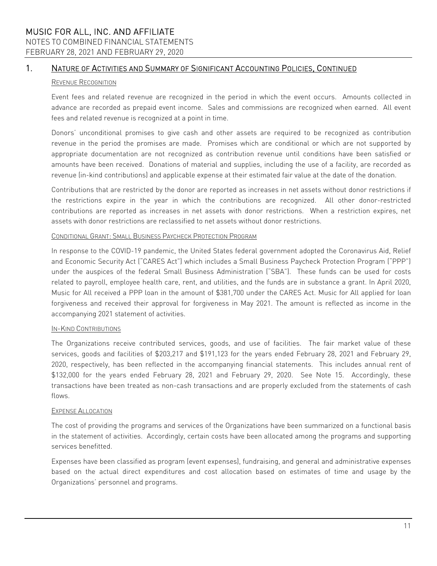# 1. NATURE OF ACTIVITIES AND SUMMARY OF SIGNIFICANT ACCOUNTING POLICIES, CONTINUED

#### REVENUE RECOGNITION

Event fees and related revenue are recognized in the period in which the event occurs. Amounts collected in advance are recorded as prepaid event income. Sales and commissions are recognized when earned. All event fees and related revenue is recognized at a point in time.

Donors' unconditional promises to give cash and other assets are required to be recognized as contribution revenue in the period the promises are made. Promises which are conditional or which are not supported by appropriate documentation are not recognized as contribution revenue until conditions have been satisfied or amounts have been received. Donations of material and supplies, including the use of a facility, are recorded as revenue (in-kind contributions) and applicable expense at their estimated fair value at the date of the donation.

Contributions that are restricted by the donor are reported as increases in net assets without donor restrictions if the restrictions expire in the year in which the contributions are recognized. All other donor-restricted contributions are reported as increases in net assets with donor restrictions. When a restriction expires, net assets with donor restrictions are reclassified to net assets without donor restrictions.

#### CONDITIONAL GRANT: SMALL BUSINESS PAYCHECK PROTECTION PROGRAM

In response to the COVID-19 pandemic, the United States federal government adopted the Coronavirus Aid, Relief and Economic Security Act ("CARES Act") which includes a Small Business Paycheck Protection Program ("PPP") under the auspices of the federal Small Business Administration ("SBA"). These funds can be used for costs related to payroll, employee health care, rent, and utilities, and the funds are in substance a grant. In April 2020, Music for All received a PPP loan in the amount of \$381,700 under the CARES Act. Music for All applied for loan forgiveness and received their approval for forgiveness in May 2021. The amount is reflected as income in the accompanying 2021 statement of activities.

#### IN-KIND CONTRIBUTIONS

The Organizations receive contributed services, goods, and use of facilities. The fair market value of these services, goods and facilities of \$203,217 and \$191,123 for the years ended February 28, 2021 and February 29, 2020, respectively, has been reflected in the accompanying financial statements. This includes annual rent of \$132,000 for the years ended February 28, 2021 and February 29, 2020. See Note 15. Accordingly, these transactions have been treated as non-cash transactions and are properly excluded from the statements of cash flows.

#### EXPENSE ALLOCATION

The cost of providing the programs and services of the Organizations have been summarized on a functional basis in the statement of activities. Accordingly, certain costs have been allocated among the programs and supporting services benefitted.

Expenses have been classified as program (event expenses), fundraising, and general and administrative expenses based on the actual direct expenditures and cost allocation based on estimates of time and usage by the Organizations' personnel and programs.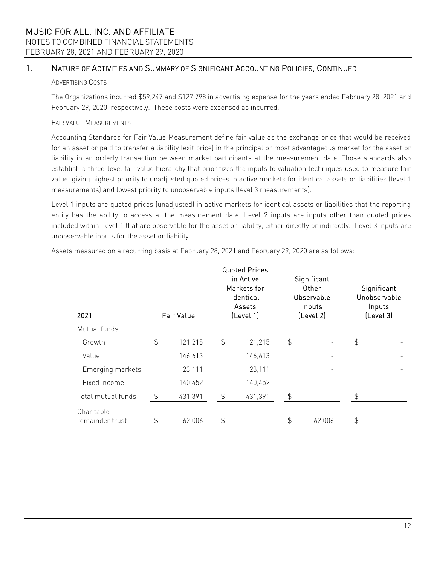NOTES TO COMBINED FINANCIAL STATEMENTS FEBRUARY 28, 2021 AND FEBRUARY 29, 2020

## 1. NATURE OF ACTIVITIES AND SUMMARY OF SIGNIFICANT ACCOUNTING POLICIES, CONTINUED

#### ADVERTISING COSTS

The Organizations incurred \$59,247 and \$127,798 in advertising expense for the years ended February 28, 2021 and February 29, 2020, respectively. These costs were expensed as incurred.

#### FAIR VALUE MEASUREMENTS

Accounting Standards for Fair Value Measurement define fair value as the exchange price that would be received for an asset or paid to transfer a liability (exit price) in the principal or most advantageous market for the asset or liability in an orderly transaction between market participants at the measurement date. Those standards also establish a three-level fair value hierarchy that prioritizes the inputs to valuation techniques used to measure fair value, giving highest priority to unadjusted quoted prices in active markets for identical assets or liabilities (level 1 measurements) and lowest priority to unobservable inputs (level 3 measurements).

Level 1 inputs are quoted prices (unadjusted) in active markets for identical assets or liabilities that the reporting entity has the ability to access at the measurement date. Level 2 inputs are inputs other than quoted prices included within Level 1 that are observable for the asset or liability, either directly or indirectly. Level 3 inputs are unobservable inputs for the asset or liability.

Assets measured on a recurring basis at February 28, 2021 and February 29, 2020 are as follows:

| 2021                          | <b>Fair Value</b> |         |               | <b>Quoted Prices</b><br>in Active<br>Markets for<br>Identical<br>Assets<br>[Level 1] |               | Significant<br><b>Other</b><br>Observable<br>Inputs<br>[Level 2] | Significant<br>Unobservable<br>Inputs<br>[Level 3] |  |  |
|-------------------------------|-------------------|---------|---------------|--------------------------------------------------------------------------------------|---------------|------------------------------------------------------------------|----------------------------------------------------|--|--|
| Mutual funds                  |                   |         |               |                                                                                      |               |                                                                  |                                                    |  |  |
| Growth                        | $\frac{4}{5}$     | 121,215 | $\frac{1}{2}$ | 121,215                                                                              | $\frac{4}{5}$ |                                                                  | \$                                                 |  |  |
| Value                         |                   | 146,613 |               | 146,613                                                                              |               |                                                                  |                                                    |  |  |
| Emerging markets              |                   | 23,111  |               | 23,111                                                                               |               |                                                                  |                                                    |  |  |
| Fixed income                  |                   | 140,452 |               | 140,452                                                                              |               |                                                                  |                                                    |  |  |
| Total mutual funds            | \$                | 431,391 | ፍ             | 431,391                                                                              | ፍ             |                                                                  |                                                    |  |  |
| Charitable<br>remainder trust |                   | 62,006  |               |                                                                                      |               | 62,006                                                           |                                                    |  |  |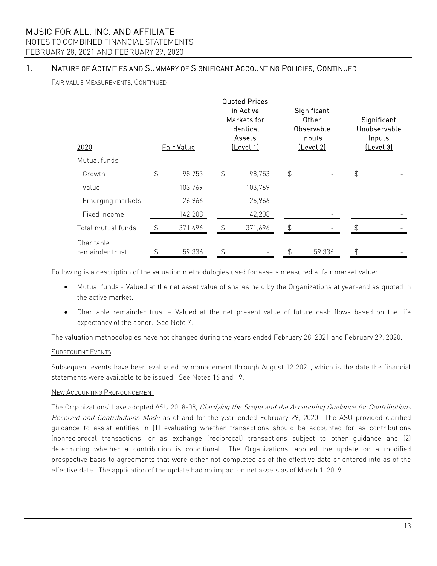# NOTES TO COMBINED FINANCIAL STATEMENTS

FEBRUARY 28, 2021 AND FEBRUARY 29, 2020

# 1. NATURE OF ACTIVITIES AND SUMMARY OF SIGNIFICANT ACCOUNTING POLICIES, CONTINUED

FAIR VALUE MEASUREMENTS, CONTINUED

| 2020                          |               | <b>Fair Value</b> |               | <b>Quoted Prices</b><br>in Active<br>Markets for<br>Identical<br>Assets<br>[Level 1] | Significant<br>Other<br>Observable<br>Inputs<br><u>(Level 2)</u> | Significant<br>Unobservable<br>Inputs<br>[Level 3] |  |  |
|-------------------------------|---------------|-------------------|---------------|--------------------------------------------------------------------------------------|------------------------------------------------------------------|----------------------------------------------------|--|--|
| Mutual funds                  |               |                   |               |                                                                                      |                                                                  |                                                    |  |  |
| Growth                        | $\frac{4}{5}$ | 98,753            | $\frac{4}{5}$ | 98,753                                                                               | \$                                                               | \$                                                 |  |  |
| Value                         |               | 103,769           |               | 103,769                                                                              |                                                                  |                                                    |  |  |
| Emerging markets              |               | 26,966            |               | 26,966                                                                               |                                                                  |                                                    |  |  |
| Fixed income                  |               | 142,208           |               | 142,208                                                                              |                                                                  |                                                    |  |  |
| Total mutual funds            | \$            | 371,696           |               | 371,696                                                                              |                                                                  |                                                    |  |  |
| Charitable<br>remainder trust | \$            | 59,336            | \$            |                                                                                      | \$<br>59,336                                                     | \$                                                 |  |  |

Following is a description of the valuation methodologies used for assets measured at fair market value:

- Mutual funds Valued at the net asset value of shares held by the Organizations at year-end as quoted in the active market.
- Charitable remainder trust Valued at the net present value of future cash flows based on the life expectancy of the donor. See Note 7.

The valuation methodologies have not changed during the years ended February 28, 2021 and February 29, 2020.

#### SUBSEQUENT EVENTS

Subsequent events have been evaluated by management through August 12 2021, which is the date the financial statements were available to be issued. See Notes 16 and 19.

#### NEW ACCOUNTING PRONOUNCEMENT

The Organizations' have adopted ASU 2018-08, Clarifying the Scope and the Accounting Guidance for Contributions Received and Contributions Made as of and for the year ended February 29, 2020. The ASU provided clarified guidance to assist entities in (1) evaluating whether transactions should be accounted for as contributions (nonreciprocal transactions) or as exchange (reciprocal) transactions subject to other guidance and (2) determining whether a contribution is conditional. The Organizations' applied the update on a modified prospective basis to agreements that were either not completed as of the effective date or entered into as of the effective date. The application of the update had no impact on net assets as of March 1, 2019.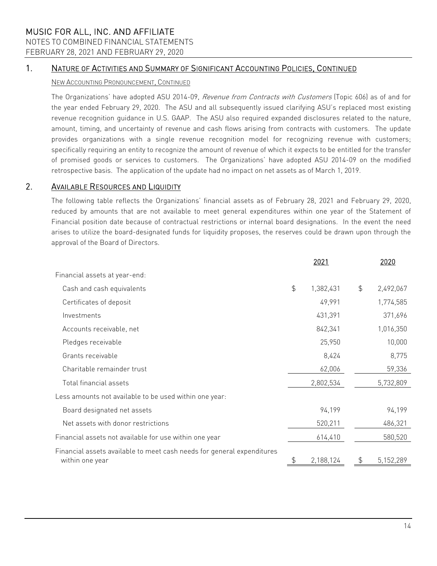NOTES TO COMBINED FINANCIAL STATEMENTS

# FEBRUARY 28, 2021 AND FEBRUARY 29, 2020

# 1. NATURE OF ACTIVITIES AND SUMMARY OF SIGNIFICANT ACCOUNTING POLICIES, CONTINUED

# NEW ACCOUNTING PRONOUNCEMENT, CONTINUED

The Organizations' have adopted ASU 2014-09, Revenue from Contracts with Customers (Topic 606) as of and for the year ended February 29, 2020. The ASU and all subsequently issued clarifying ASU's replaced most existing revenue recognition guidance in U.S. GAAP. The ASU also required expanded disclosures related to the nature, amount, timing, and uncertainty of revenue and cash flows arising from contracts with customers. The update provides organizations with a single revenue recognition model for recognizing revenue with customers; specifically requiring an entity to recognize the amount of revenue of which it expects to be entitled for the transfer of promised goods or services to customers. The Organizations' have adopted ASU 2014-09 on the modified retrospective basis. The application of the update had no impact on net assets as of March 1, 2019.

# 2. AVAILABLE RESOURCES AND LIQUIDITY

The following table reflects the Organizations' financial assets as of February 28, 2021 and February 29, 2020, reduced by amounts that are not available to meet general expenditures within one year of the Statement of Financial position date because of contractual restrictions or internal board designations. In the event the need arises to utilize the board-designated funds for liquidity proposes, the reserves could be drawn upon through the approval of the Board of Directors.

|                                                                                           |               | 2021      |               | 2020      |
|-------------------------------------------------------------------------------------------|---------------|-----------|---------------|-----------|
| Financial assets at year-end:                                                             |               |           |               |           |
| Cash and cash equivalents                                                                 | $\frac{1}{2}$ | 1,382,431 | $\frac{1}{2}$ | 2,492,067 |
| Certificates of deposit                                                                   |               | 49,991    |               | 1,774,585 |
| Investments                                                                               |               | 431,391   |               | 371,696   |
| Accounts receivable, net                                                                  |               | 842,341   |               | 1,016,350 |
| Pledges receivable                                                                        |               | 25,950    |               | 10,000    |
| Grants receivable                                                                         |               | 8,424     |               | 8,775     |
| Charitable remainder trust                                                                |               | 62,006    |               | 59,336    |
| Total financial assets                                                                    |               | 2,802,534 |               | 5,732,809 |
| Less amounts not available to be used within one year:                                    |               |           |               |           |
| Board designated net assets                                                               |               | 94,199    |               | 94,199    |
| Net assets with donor restrictions                                                        |               | 520,211   |               | 486,321   |
| Financial assets not available for use within one year                                    |               | 614,410   |               | 580,520   |
| Financial assets available to meet cash needs for general expenditures<br>within one year |               | 2,188,124 |               | 5,152,289 |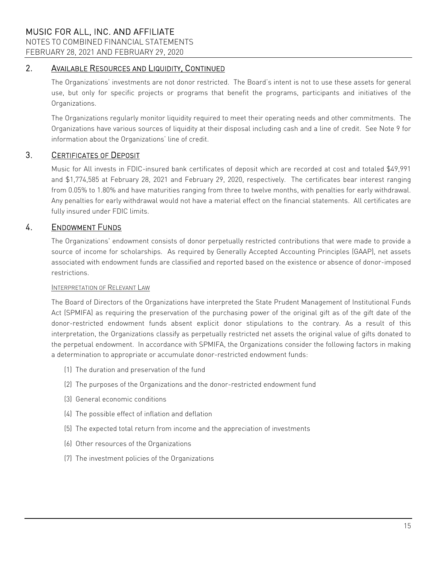FEBRUARY 28, 2021 AND FEBRUARY 29, 2020

# 2. AVAILABLE RESOURCES AND LIQUIDITY, CONTINUED

The Organizations' investments are not donor restricted. The Board's intent is not to use these assets for general use, but only for specific projects or programs that benefit the programs, participants and initiatives of the Organizations.

The Organizations regularly monitor liquidity required to meet their operating needs and other commitments. The Organizations have various sources of liquidity at their disposal including cash and a line of credit. See Note 9 for information about the Organizations' line of credit.

## 3. CERTIFICATES OF DEPOSIT

Music for All invests in FDIC-insured bank certificates of deposit which are recorded at cost and totaled \$49,991 and \$1,774,585 at February 28, 2021 and February 29, 2020, respectively. The certificates bear interest ranging from 0.05% to 1.80% and have maturities ranging from three to twelve months, with penalties for early withdrawal. Any penalties for early withdrawal would not have a material effect on the financial statements. All certificates are fully insured under FDIC limits.

# 4. ENDOWMENT FUNDS

The Organizations' endowment consists of donor perpetually restricted contributions that were made to provide a source of income for scholarships. As required by Generally Accepted Accounting Principles (GAAP), net assets associated with endowment funds are classified and reported based on the existence or absence of donor-imposed restrictions.

#### INTERPRETATION OF RELEVANT LAW

The Board of Directors of the Organizations have interpreted the State Prudent Management of Institutional Funds Act (SPMIFA) as requiring the preservation of the purchasing power of the original gift as of the gift date of the donor-restricted endowment funds absent explicit donor stipulations to the contrary. As a result of this interpretation, the Organizations classify as perpetually restricted net assets the original value of gifts donated to the perpetual endowment. In accordance with SPMIFA, the Organizations consider the following factors in making a determination to appropriate or accumulate donor-restricted endowment funds:

- (1) The duration and preservation of the fund
- (2) The purposes of the Organizations and the donor-restricted endowment fund
- (3) General economic conditions
- (4) The possible effect of inflation and deflation
- (5) The expected total return from income and the appreciation of investments
- (6) Other resources of the Organizations
- (7) The investment policies of the Organizations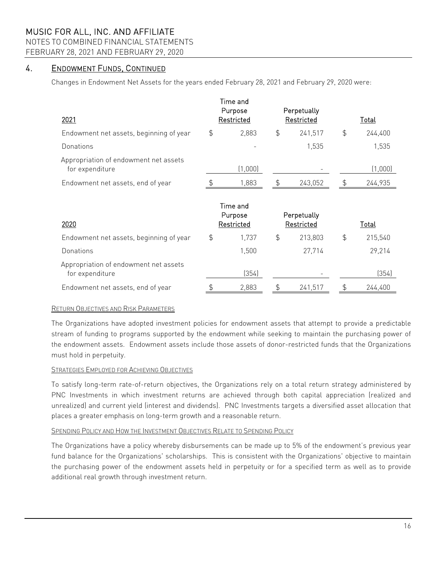NOTES TO COMBINED FINANCIAL STATEMENTS

FEBRUARY 28, 2021 AND FEBRUARY 29, 2020

# 4. ENDOWMENT FUNDS, CONTINUED

Changes in Endowment Net Assets for the years ended February 28, 2021 and February 29, 2020 were:

| 2021                                                     |               | Time and<br>Purpose<br>Restricted |               | Perpetually<br>Restricted | <b>Total</b>  |              |  |
|----------------------------------------------------------|---------------|-----------------------------------|---------------|---------------------------|---------------|--------------|--|
| Endowment net assets, beginning of year                  | $\frac{1}{2}$ | 2,883                             | $\frac{4}{5}$ | 241,517                   | $\frac{4}{5}$ | 244,400      |  |
| Donations                                                |               |                                   |               | 1,535                     |               | 1,535        |  |
| Appropriation of endowment net assets<br>for expenditure |               | (1,000)                           |               |                           |               | (1,000)      |  |
| Endowment net assets, end of year                        |               | 1,883                             | \$            | 243,052                   |               | 244,935      |  |
| 2020                                                     |               | Time and<br>Purpose<br>Restricted |               | Perpetually<br>Restricted |               | <u>Total</u> |  |
| Endowment net assets, beginning of year                  | $\frac{1}{2}$ | 1,737                             | $\frac{4}{5}$ | 213,803                   | $\frac{1}{2}$ | 215,540      |  |
| Donations                                                |               | 1,500                             |               | 27,714                    |               | 29,214       |  |
| Appropriation of endowment net assets<br>for expenditure |               | (354)                             |               |                           |               | (354)        |  |
| Endowment net assets, end of year                        | \$            | 2,883                             | \$            | 241,517                   | \$            | 244,400      |  |

#### RETURN OBJECTIVES AND RISK PARAMETERS

The Organizations have adopted investment policies for endowment assets that attempt to provide a predictable stream of funding to programs supported by the endowment while seeking to maintain the purchasing power of the endowment assets. Endowment assets include those assets of donor-restricted funds that the Organizations must hold in perpetuity.

#### **STRATEGIES EMPLOYED FOR ACHIEVING OBJECTIVES**

To satisfy long-term rate-of-return objectives, the Organizations rely on a total return strategy administered by PNC Investments in which investment returns are achieved through both capital appreciation (realized and unrealized) and current yield (interest and dividends). PNC Investments targets a diversified asset allocation that places a greater emphasis on long-term growth and a reasonable return.

#### SPENDING POLICY AND HOW THE INVESTMENT OBJECTIVES RELATE TO SPENDING POLICY

The Organizations have a policy whereby disbursements can be made up to 5% of the endowment's previous year fund balance for the Organizations' scholarships. This is consistent with the Organizations' objective to maintain the purchasing power of the endowment assets held in perpetuity or for a specified term as well as to provide additional real growth through investment return.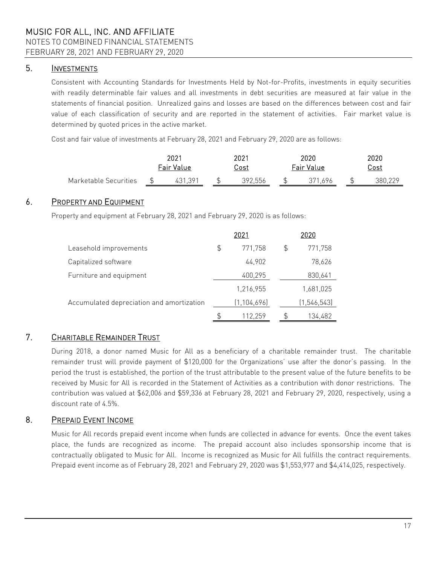# 5. INVESTMENTS

Consistent with Accounting Standards for Investments Held by Not-for-Profits, investments in equity securities with readily determinable fair values and all investments in debt securities are measured at fair value in the statements of financial position. Unrealized gains and losses are based on the differences between cost and fair value of each classification of security and are reported in the statement of activities. Fair market value is determined by quoted prices in the active market.

Cost and fair value of investments at February 28, 2021 and February 29, 2020 are as follows:

|                       | 2021       |  |  | 2021        |         |  | 2020       | 2020        |  |         |
|-----------------------|------------|--|--|-------------|---------|--|------------|-------------|--|---------|
|                       | Fair Value |  |  | <u>Cost</u> |         |  | Fair Value | <u>Cost</u> |  |         |
| Marketable Securities |            |  |  |             | 392,556 |  | 696        |             |  | 38U 22G |

# 6. PROPERTY AND EQUIPMENT

Property and equipment at February 28, 2021 and February 29, 2020 is as follows:

|                                           | 2021          | 2020          |
|-------------------------------------------|---------------|---------------|
| Leasehold improvements                    | \$<br>771,758 | \$<br>771,758 |
| Capitalized software                      | 44,902        | 78,626        |
| Furniture and equipment                   | 400,295       | 830,641       |
|                                           | 1,216,955     | 1,681,025     |
| Accumulated depreciation and amortization | (1, 104, 696) | (1, 546, 543) |
|                                           | \$<br>112,259 | 134,482       |

# 7. CHARITABLE REMAINDER TRUST

During 2018, a donor named Music for All as a beneficiary of a charitable remainder trust. The charitable remainder trust will provide payment of \$120,000 for the Organizations' use after the donor's passing. In the period the trust is established, the portion of the trust attributable to the present value of the future benefits to be received by Music for All is recorded in the Statement of Activities as a contribution with donor restrictions. The contribution was valued at \$62,006 and \$59,336 at February 28, 2021 and February 29, 2020, respectively, using a discount rate of 4.5%.

# 8. PREPAID EVENT INCOME

Music for All records prepaid event income when funds are collected in advance for events. Once the event takes place, the funds are recognized as income. The prepaid account also includes sponsorship income that is contractually obligated to Music for All. Income is recognized as Music for All fulfills the contract requirements. Prepaid event income as of February 28, 2021 and February 29, 2020 was \$1,553,977 and \$4,414,025, respectively.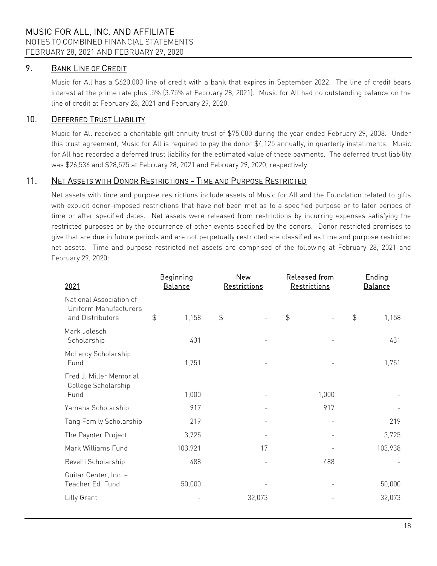# 9. BANK LINE OF CREDIT

Music for All has a \$620,000 line of credit with a bank that expires in September 2022. The line of credit bears interest at the prime rate plus .5% (3.75% at February 28, 2021). Music for All had no outstanding balance on the line of credit at February 28, 2021 and February 29, 2020.

### 10. DEFERRED TRUST LIABILITY

Music for All received a charitable gift annuity trust of \$75,000 during the year ended February 29, 2008. Under this trust agreement, Music for All is required to pay the donor \$4,125 annually, in quarterly installments. Music for All has recorded a deferred trust liability for the estimated value of these payments. The deferred trust liability was \$26,536 and \$28,575 at February 28, 2021 and February 29, 2020, respectively.

### 11. NET ASSETS WITH DONOR RESTRICTIONS - TIME AND PURPOSE RESTRICTED

Net assets with time and purpose restrictions include assets of Music for All and the Foundation related to gifts with explicit donor-imposed restrictions that have not been met as to a specified purpose or to later periods of time or after specified dates. Net assets were released from restrictions by incurring expenses satisfying the restricted purposes or by the occurrence of other events specified by the donors. Donor restricted promises to give that are due in future periods and are not perpetually restricted are classified as time and purpose restricted net assets. Time and purpose restricted net assets are comprised of the following at February 28, 2021 and February 29, 2020:

| 2021                                                                 | Beginning<br><b>Balance</b> | <b>New</b><br>Restrictions | Released from<br>Restrictions | Ending<br><b>Balance</b> |  |
|----------------------------------------------------------------------|-----------------------------|----------------------------|-------------------------------|--------------------------|--|
| National Association of<br>Uniform Manufacturers<br>and Distributors | $\frac{1}{2}$<br>1,158      | $\frac{4}{5}$              | $\frac{1}{2}$                 | $\frac{1}{2}$<br>1,158   |  |
| Mark Jolesch<br>Scholarship                                          | 431                         |                            |                               | 431                      |  |
| McLeroy Scholarship<br>Fund                                          | 1,751                       |                            |                               | 1,751                    |  |
| Fred J. Miller Memorial<br>College Scholarship<br>Fund               | 1,000                       |                            | 1,000                         |                          |  |
| Yamaha Scholarship                                                   | 917                         |                            | 917                           |                          |  |
| Tang Family Scholarship                                              | 219                         |                            |                               | 219                      |  |
| The Paynter Project                                                  | 3,725                       |                            |                               | 3,725                    |  |
| Mark Williams Fund                                                   | 103,921                     | 17                         |                               | 103,938                  |  |
| Revelli Scholarship                                                  | 488                         |                            | 488                           |                          |  |
| Guitar Center, Inc. -<br>Teacher Ed. Fund                            | 50,000                      |                            |                               | 50,000                   |  |
| Lilly Grant                                                          |                             | 32,073                     |                               | 32,073                   |  |
|                                                                      |                             |                            |                               |                          |  |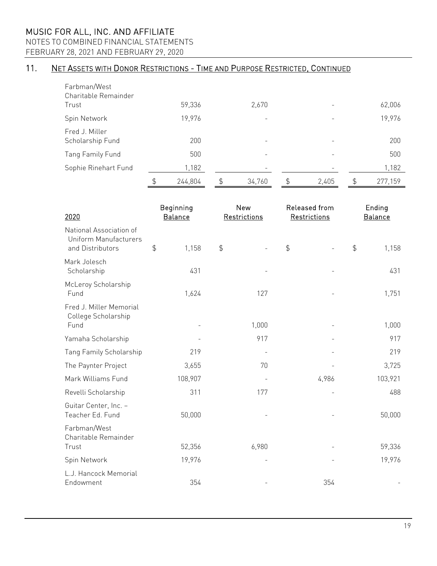NOTES TO COMBINED FINANCIAL STATEMENTS

FEBRUARY 28, 2021 AND FEBRUARY 29, 2020

# 11. NET ASSETS WITH DONOR RESTRICTIONS - TIME AND PURPOSE RESTRICTED, CONTINUED

| Farbman/West<br>Charitable Remainder |               |              |             |               |
|--------------------------------------|---------------|--------------|-------------|---------------|
| Trust                                | 59,336        | 2,670        |             | 62,006        |
| Spin Network                         | 19,976        | -            |             | 19,976        |
| Fred J. Miller<br>Scholarship Fund   | 200           | -            |             | 200           |
| Tang Family Fund                     | 500           | -            |             | 500           |
| Sophie Rinehart Fund                 | 1,182         |              |             | 1,182         |
|                                      | \$<br>244,804 | \$<br>34,760 | \$<br>2,405 | \$<br>277,159 |

| 2020                                                                 | Beginning<br><b>Balance</b> |               | <b>New</b><br>Restrictions |                  | Released from<br>Restrictions |               | Ending<br><b>Balance</b> |  |  |
|----------------------------------------------------------------------|-----------------------------|---------------|----------------------------|------------------|-------------------------------|---------------|--------------------------|--|--|
| National Association of<br>Uniform Manufacturers<br>and Distributors | $\frac{1}{2}$<br>1,158      | $\frac{4}{5}$ |                            | $\ddot{\varphi}$ |                               | $\frac{1}{2}$ | 1,158                    |  |  |
| Mark Jolesch<br>Scholarship                                          | 431                         |               |                            |                  |                               |               | 431                      |  |  |
| McLeroy Scholarship<br>Fund                                          | 1,624                       |               | 127                        |                  |                               |               | 1,751                    |  |  |
| Fred J. Miller Memorial<br>College Scholarship<br>Fund               |                             |               | 1,000                      |                  |                               |               | 1,000                    |  |  |
| Yamaha Scholarship                                                   |                             |               | 917                        |                  |                               |               | 917                      |  |  |
| Tang Family Scholarship                                              | 219                         |               |                            |                  |                               |               | 219                      |  |  |
| The Paynter Project                                                  | 3,655                       |               | 70                         |                  |                               |               | 3,725                    |  |  |
| Mark Williams Fund                                                   | 108,907                     |               |                            |                  | 4,986                         |               | 103,921                  |  |  |
| Revelli Scholarship                                                  | 311                         |               | 177                        |                  |                               |               | 488                      |  |  |
| Guitar Center, Inc. -<br>Teacher Ed. Fund                            | 50,000                      |               |                            |                  |                               |               | 50,000                   |  |  |
| Farbman/West<br>Charitable Remainder<br>Trust                        | 52,356                      |               | 6,980                      |                  |                               |               | 59,336                   |  |  |
| Spin Network                                                         | 19,976                      |               |                            |                  |                               |               | 19,976                   |  |  |
| L.J. Hancock Memorial<br>Endowment                                   | 354                         |               |                            |                  | 354                           |               |                          |  |  |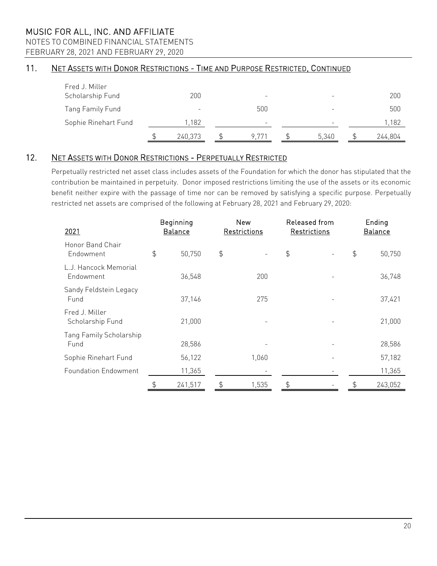NOTES TO COMBINED FINANCIAL STATEMENTS

FEBRUARY 28, 2021 AND FEBRUARY 29, 2020

# 11. NET ASSETS WITH DONOR RESTRICTIONS - TIME AND PURPOSE RESTRICTED, CONTINUED

| Fred J. Miller<br>Scholarship Fund | 200     |       | -     | 200     |
|------------------------------------|---------|-------|-------|---------|
|                                    |         | -     |       |         |
| Tang Family Fund                   | -       | 500   |       | 500     |
| Sophie Rinehart Fund               | 1,182   | -     |       | ,182    |
|                                    | 240,373 | 9.771 | 5,340 | 244,804 |

# 12. NET ASSETS WITH DONOR RESTRICTIONS - PERPETUALLY RESTRICTED

Perpetually restricted net asset class includes assets of the Foundation for which the donor has stipulated that the contribution be maintained in perpetuity. Donor imposed restrictions limiting the use of the assets or its economic benefit neither expire with the passage of time nor can be removed by satisfying a specific purpose. Perpetually restricted net assets are comprised of the following at February 28, 2021 and February 29, 2020:

| 2021                               | Beginning<br><b>Balance</b> |         |               | New<br>Restrictions      |    | Released from<br>Restrictions | Ending<br><b>Balance</b> |         |  |  |
|------------------------------------|-----------------------------|---------|---------------|--------------------------|----|-------------------------------|--------------------------|---------|--|--|
| Honor Band Chair<br>Endowment      | \$                          | 50,750  | $\frac{4}{5}$ | $\overline{\phantom{a}}$ | \$ |                               | \$                       | 50,750  |  |  |
| L.J. Hancock Memorial<br>Endowment |                             | 36,548  |               | 200                      |    |                               |                          | 36,748  |  |  |
| Sandy Feldstein Legacy<br>Fund     | 37,146                      |         |               | 275                      |    |                               |                          | 37,421  |  |  |
| Fred J. Miller<br>Scholarship Fund |                             | 21,000  |               | $\overline{\phantom{a}}$ |    |                               |                          | 21,000  |  |  |
| Tang Family Scholarship<br>Fund    |                             | 28,586  |               |                          |    |                               |                          | 28,586  |  |  |
| Sophie Rinehart Fund               |                             | 56,122  |               | 1,060                    |    |                               |                          | 57,182  |  |  |
| <b>Foundation Endowment</b>        |                             | 11,365  |               |                          |    |                               |                          | 11,365  |  |  |
|                                    | \$                          | 241,517 | \$            | 1,535                    | \$ |                               | \$                       | 243,052 |  |  |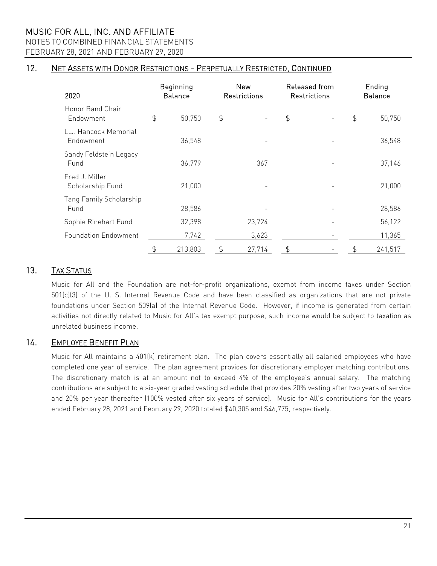NOTES TO COMBINED FINANCIAL STATEMENTS FEBRUARY 28, 2021 AND FEBRUARY 29, 2020

## 12. NET ASSETS WITH DONOR RESTRICTIONS - PERPETUALLY RESTRICTED, CONTINUED

| 2020                               | Beginning<br><b>Balance</b> |               | <b>New</b><br>Restrictions |    | Released from<br>Restrictions | Ending<br><b>Balance</b> |         |  |  |
|------------------------------------|-----------------------------|---------------|----------------------------|----|-------------------------------|--------------------------|---------|--|--|
| Honor Band Chair<br>Endowment      | \$<br>50,750                | $\frac{1}{2}$ | $\overline{\phantom{a}}$   | \$ |                               | $\frac{1}{2}$            | 50,750  |  |  |
| L.J. Hancock Memorial<br>Endowment | 36,548                      |               |                            |    |                               |                          | 36,548  |  |  |
| Sandy Feldstein Legacy<br>Fund     | 36,779                      |               | 367                        |    |                               |                          | 37,146  |  |  |
| Fred J. Miller<br>Scholarship Fund | 21,000                      |               |                            |    |                               |                          | 21,000  |  |  |
| Tang Family Scholarship<br>Fund    | 28,586                      |               |                            |    |                               |                          | 28,586  |  |  |
| Sophie Rinehart Fund               | 32,398                      | 23,724        |                            |    |                               |                          | 56,122  |  |  |
| <b>Foundation Endowment</b>        | 7,742                       |               | 3,623                      |    |                               |                          | 11,365  |  |  |
|                                    | \$<br>213,803               | \$            | 27,714                     | \$ |                               | \$                       | 241,517 |  |  |

# 13. TAX STATUS

Music for All and the Foundation are not-for-profit organizations, exempt from income taxes under Section 501(c)(3) of the U. S. Internal Revenue Code and have been classified as organizations that are not private foundations under Section 509(a) of the Internal Revenue Code. However, if income is generated from certain activities not directly related to Music for All's tax exempt purpose, such income would be subject to taxation as unrelated business income.

## 14. EMPLOYEE BENEFIT PLAN

Music for All maintains a 401(k) retirement plan. The plan covers essentially all salaried employees who have completed one year of service. The plan agreement provides for discretionary employer matching contributions. The discretionary match is at an amount not to exceed 4% of the employee's annual salary. The matching contributions are subject to a six-year graded vesting schedule that provides 20% vesting after two years of service and 20% per year thereafter (100% vested after six years of service). Music for All's contributions for the years ended February 28, 2021 and February 29, 2020 totaled \$40,305 and \$46,775, respectively.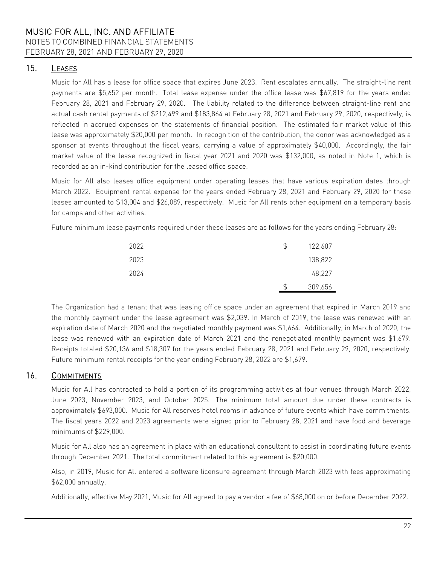FEBRUARY 28, 2021 AND FEBRUARY 29, 2020

# 15. LEASES

Music for All has a lease for office space that expires June 2023. Rent escalates annually. The straight-line rent payments are \$5,652 per month. Total lease expense under the office lease was \$67,819 for the years ended February 28, 2021 and February 29, 2020. The liability related to the difference between straight-line rent and actual cash rental payments of \$212,499 and \$183,864 at February 28, 2021 and February 29, 2020, respectively, is reflected in accrued expenses on the statements of financial position. The estimated fair market value of this lease was approximately \$20,000 per month. In recognition of the contribution, the donor was acknowledged as a sponsor at events throughout the fiscal years, carrying a value of approximately \$40,000. Accordingly, the fair market value of the lease recognized in fiscal year 2021 and 2020 was \$132,000, as noted in Note 1, which is recorded as an in-kind contribution for the leased office space.

Music for All also leases office equipment under operating leases that have various expiration dates through March 2022. Equipment rental expense for the years ended February 28, 2021 and February 29, 2020 for these leases amounted to \$13,004 and \$26,089, respectively. Music for All rents other equipment on a temporary basis for camps and other activities.

Future minimum lease payments required under these leases are as follows for the years ending February 28:

| 2022 | 122,607 |
|------|---------|
| 2023 | 138,822 |
| 2024 | 48,227  |
|      | 309,656 |

The Organization had a tenant that was leasing office space under an agreement that expired in March 2019 and the monthly payment under the lease agreement was \$2,039. In March of 2019, the lease was renewed with an expiration date of March 2020 and the negotiated monthly payment was \$1,664. Additionally, in March of 2020, the lease was renewed with an expiration date of March 2021 and the renegotiated monthly payment was \$1,679. Receipts totaled \$20,136 and \$18,307 for the years ended February 28, 2021 and February 29, 2020, respectively. Future minimum rental receipts for the year ending February 28, 2022 are \$1,679.

# 16. COMMITMENTS

Music for All has contracted to hold a portion of its programming activities at four venues through March 2022, June 2023, November 2023, and October 2025. The minimum total amount due under these contracts is approximately \$693,000. Music for All reserves hotel rooms in advance of future events which have commitments. The fiscal years 2022 and 2023 agreements were signed prior to February 28, 2021 and have food and beverage minimums of \$229,000.

Music for All also has an agreement in place with an educational consultant to assist in coordinating future events through December 2021. The total commitment related to this agreement is \$20,000.

Also, in 2019, Music for All entered a software licensure agreement through March 2023 with fees approximating \$62,000 annually.

Additionally, effective May 2021, Music for All agreed to pay a vendor a fee of \$68,000 on or before December 2022.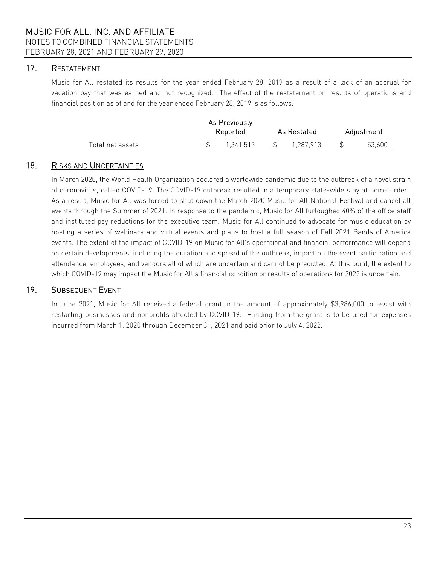# 17. RESTATEMENT

Music for All restated its results for the year ended February 28, 2019 as a result of a lack of an accrual for vacation pay that was earned and not recognized. The effect of the restatement on results of operations and financial position as of and for the year ended February 28, 2019 is as follows:

|                  | As Previously<br>Reported | As Restated | Adjustment |
|------------------|---------------------------|-------------|------------|
| Total net assets | 1.341.513                 | 1,287,913   | 53,600     |

## 18. RISKS AND UNCERTAINTIES

In March 2020, the World Health Organization declared a worldwide pandemic due to the outbreak of a novel strain of coronavirus, called COVID-19. The COVID-19 outbreak resulted in a temporary state-wide stay at home order. As a result, Music for All was forced to shut down the March 2020 Music for All National Festival and cancel all events through the Summer of 2021. In response to the pandemic, Music for All furloughed 40% of the office staff and instituted pay reductions for the executive team. Music for All continued to advocate for music education by hosting a series of webinars and virtual events and plans to host a full season of Fall 2021 Bands of America events. The extent of the impact of COVID-19 on Music for All's operational and financial performance will depend on certain developments, including the duration and spread of the outbreak, impact on the event participation and attendance, employees, and vendors all of which are uncertain and cannot be predicted. At this point, the extent to which COVID-19 may impact the Music for All's financial condition or results of operations for 2022 is uncertain.

### 19. SUBSEQUENT EVENT

In June 2021, Music for All received a federal grant in the amount of approximately \$3,986,000 to assist with restarting businesses and nonprofits affected by COVID-19. Funding from the grant is to be used for expenses incurred from March 1, 2020 through December 31, 2021 and paid prior to July 4, 2022.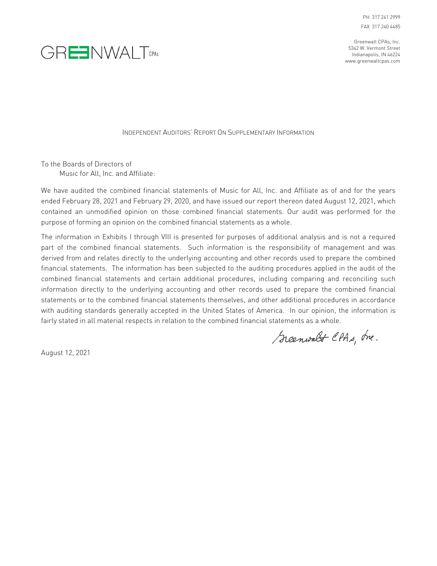PH 317 241 2999 FAX 317 240 4485

Greenwalt CPAs, Inc. 5342 W. Vermont Street Indianapolis, IN 46224 www.greenwaltcpas.com



INDEPENDENT AUDITORS' REPORT ON SUPPLEMENTARY INFORMATION

To the Boards of Directors of Music for All, Inc. and Affiliate:

We have audited the combined financial statements of Music for All, Inc. and Affiliate as of and for the years ended February 28, 2021 and February 29, 2020, and have issued our report thereon dated August 12, 2021, which contained an unmodified opinion on those combined financial statements. Our audit was performed for the purpose of forming an opinion on the combined financial statements as a whole.

The information in Exhibits I through VIII is presented for purposes of additional analysis and is not a required part of the combined financial statements. Such information is the responsibility of management and was derived from and relates directly to the underlying accounting and other records used to prepare the combined financial statements. The information has been subjected to the auditing procedures applied in the audit of the combined financial statements and certain additional procedures, including comparing and reconciling such information directly to the underlying accounting and other records used to prepare the combined financial statements or to the combined financial statements themselves, and other additional procedures in accordance with auditing standards generally accepted in the United States of America. In our opinion, the information is fairly stated in all material respects in relation to the combined financial statements as a whole.

Greenwalt CPAs, Ine.

August 12, 2021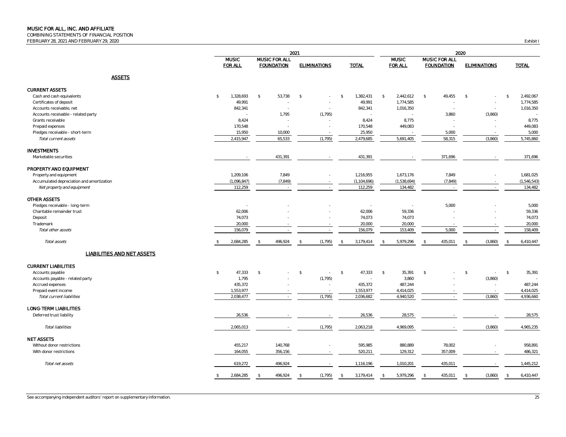COMBINING STATEMENTS OF FINANCIAL POSITION

FEBRUARY 28, 2021 AND FEBRUARY 29, 2020 Exhibit I

|                                           |                                |                                           | 2021                     |                                  |                            |                                    |                          |                                 |
|-------------------------------------------|--------------------------------|-------------------------------------------|--------------------------|----------------------------------|----------------------------|------------------------------------|--------------------------|---------------------------------|
|                                           | <b>MUSIC</b><br><b>FOR ALL</b> | <b>MUSIC FOR ALL</b><br><b>FOUNDATION</b> | <b>ELIMINATIONS</b>      | <b>TOTAL</b>                     | <b>MUSIC</b><br>FOR ALL    | MUSIC FOR ALL<br><b>FOUNDATION</b> | <b>ELIMINATIONS</b>      | <b>TOTAL</b>                    |
| <b>ASSETS</b>                             |                                |                                           |                          |                                  |                            |                                    |                          |                                 |
| <b>CURRENT ASSETS</b>                     |                                |                                           |                          |                                  |                            |                                    |                          |                                 |
| Cash and cash equivalents                 | \$<br>1,328,693                | 53,738<br>\$                              | \$                       | \$<br>1,382,431                  | 2,442,612<br>$\mathcal{F}$ | 49,455<br>$\mathbb{S}$             | \$                       | 2,492,067<br>$\mathcal{S}$      |
| Certificates of deposit                   | 49,991                         |                                           |                          | 49,991                           | 1,774,585                  |                                    |                          | 1,774,585                       |
| Accounts receivable, net                  | 842,341                        |                                           |                          | 842,341                          | 1,016,350                  |                                    |                          | 1,016,350                       |
| Accounts receivable - related party       | $\sim$                         | 1,795                                     | (1, 795)                 | $\sim$                           | $\sim$                     | 3,860                              | (3,860)                  |                                 |
| Grants receivable                         | 8,424                          |                                           |                          | 8,424                            | 8,775                      |                                    |                          | 8,775                           |
| Prepaid expenses                          | 170,548                        |                                           |                          | 170,548                          | 449,083                    |                                    |                          | 449,083                         |
| Pledges receivable - short-term           | 15,950                         | 10,000                                    |                          | 25,950                           |                            | 5,000                              |                          | 5,000                           |
| Total current assets                      | 2,415,947                      | 65,533                                    | (1, 795)                 | 2,479,685                        | 5,691,405                  | 58,315                             | (3,860)                  | 5,745,860                       |
| <b>INVESTMENTS</b>                        |                                |                                           |                          |                                  |                            |                                    |                          |                                 |
| Marketable securities                     |                                | 431,391                                   | $\sim$                   | 431,391                          |                            | 371,696                            |                          | 371,696                         |
| PROPERTY AND EQUIPMENT                    |                                |                                           |                          |                                  |                            |                                    |                          |                                 |
| Property and equipment                    | 1,209,106                      | 7,849                                     |                          | 1,216,955                        | 1,673,176                  | 7,849                              |                          | 1,681,025                       |
| Accumulated depreciation and amortization | (1,096,847)                    | (7, 849)                                  |                          | (1, 104, 696)                    | (1,538,694)                | (7, 849)                           |                          | (1,546,543)                     |
| Net property and equipment                | 112,259                        | $\sim$                                    | $\sim$                   | 112,259                          | 134,482                    | $\overline{\phantom{a}}$           | $\overline{\phantom{a}}$ | 134,482                         |
| <b>OTHER ASSETS</b>                       |                                |                                           |                          |                                  |                            |                                    |                          |                                 |
| Pledges receivable - long-term            |                                |                                           |                          |                                  |                            | 5,000                              |                          | 5,000                           |
| Charitable remainder trust                | 62,006                         |                                           |                          | 62,006                           | 59,336                     |                                    |                          | 59,336                          |
| Deposit                                   | 74,073                         |                                           |                          | 74,073                           | 74,073                     |                                    |                          | 74,073                          |
| Trademark                                 | 20,000                         |                                           |                          | 20,000                           | 20,000                     |                                    |                          | 20,000                          |
| Total other assets                        | 156,079                        |                                           |                          | 156,079                          | 153,409                    | 5,000                              |                          | 158,409                         |
| Total assets                              | 2,684,285                      | 496,924                                   | (1, 795)                 | 3,179,414<br>$\hat{\mathbf{r}}$  | 5,979,296                  | 435,011                            | (3,860)                  | 6,410,447                       |
| LIABILITIES AND NET ASSETS                |                                |                                           |                          |                                  |                            |                                    |                          |                                 |
| <b>CURRENT LIABILITIES</b>                |                                |                                           |                          |                                  |                            |                                    |                          |                                 |
| Accounts payable                          | 47,333<br>$\mathbb{S}$         | $\sqrt{2}$                                | $$\mathbb{S}$$<br>$\sim$ | 47,333<br>$\mathcal{S}$          | $\sqrt{5}$<br>35,391       | \$                                 | $\sqrt{2}$<br>$\sim$     | $\mathcal{S}$<br>35,391         |
| Accounts payable - related party          | 1,795                          |                                           | (1, 795)                 |                                  | 3,860                      |                                    | (3,860)                  |                                 |
| Accrued expenses                          | 435,372                        |                                           |                          | 435,372                          | 487,244                    |                                    |                          | 487,244                         |
| Prepaid event income                      | 1,553,977                      |                                           |                          | 1,553,977                        | 4,414,025                  |                                    |                          | 4,414,025                       |
| Total current liabilities                 | 2,038,477                      |                                           | (1, 795)                 | 2,036,682                        | 4,940,520                  |                                    | (3,860)                  | 4,936,660                       |
| LONG-TERM LIABILITIES                     |                                |                                           |                          |                                  |                            |                                    |                          |                                 |
| Deferred trust liability                  | 26,536                         |                                           |                          | 26,536                           | 28,575                     |                                    |                          | 28,575                          |
| <b>Total liabilities</b>                  | 2,065,013                      |                                           | (1, 795)                 | 2,063,218                        | 4,969,095                  |                                    | (3,860)                  | 4,965,235                       |
| <b>NET ASSETS</b>                         |                                |                                           |                          |                                  |                            |                                    |                          |                                 |
| Without donor restrictions                | 455,217                        | 140,768                                   |                          | 595,985                          | 880,889                    | 78,002                             |                          | 958,891                         |
| With donor restrictions                   | 164,055                        | 356,156                                   |                          | 520,211                          | 129,312                    | 357,009                            |                          | 486,321                         |
| Total net assets                          | 619,272                        | 496,924                                   |                          | 1,116,196                        | 1,010,201                  | 435,011                            |                          | 1,445,212                       |
|                                           | 2,684,285                      | 496,924<br>$\hat{\mathcal{L}}$            | (1, 795)<br>-8           | 3,179,414<br>$\hat{\mathcal{L}}$ | 5,979,296<br>€             | 435,011                            | (3,860)<br>-S.           | 6,410,447<br>$\hat{\mathbf{x}}$ |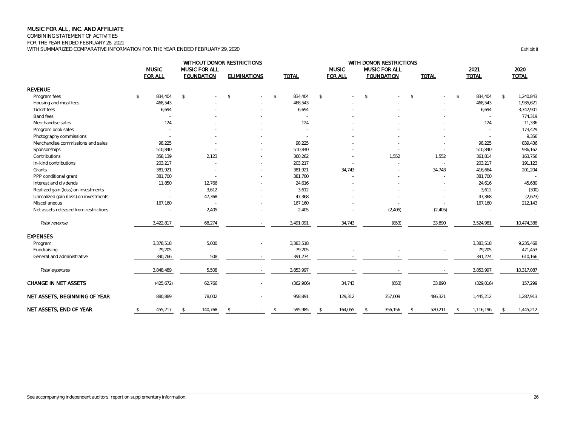COMBINING STATEMENT OF ACTIVITIES

FOR THE YEAR ENDED FEBRUARY 28, 2021

WITH SUMMARIZED COMPARATIVE INFORMATION FOR THE YEAR ENDED FEBRUARY 29, 2020 **Exhibit II** COMPARATIVE INFORMATION FOR THE YEAR ENDED FEBRUARY 29, 2020

|                                       |               | WITHOUT DONOR RESTRICTIONS     |                                           |         |                     |    |              |    |                                | WITH DONOR RESTRICTIONS |                                           |               |              |               |                      |               |                      |
|---------------------------------------|---------------|--------------------------------|-------------------------------------------|---------|---------------------|----|--------------|----|--------------------------------|-------------------------|-------------------------------------------|---------------|--------------|---------------|----------------------|---------------|----------------------|
|                                       |               | <b>MUSIC</b><br><b>FOR ALL</b> | <b>MUSIC FOR ALL</b><br><b>FOUNDATION</b> |         | <b>ELIMINATIONS</b> |    | <b>TOTAL</b> |    | <b>MUSIC</b><br><b>FOR ALL</b> |                         | <b>MUSIC FOR ALL</b><br><b>FOUNDATION</b> |               | <b>TOTAL</b> |               | 2021<br><b>TOTAL</b> |               | 2020<br><b>TOTAL</b> |
| <b>REVENUE</b>                        |               |                                |                                           |         |                     |    |              |    |                                |                         |                                           |               |              |               |                      |               |                      |
| Program fees                          | $\sqrt[6]{2}$ | 834,404                        | $\mathcal{L}$                             |         | $\mathbb{S}$        | \$ | 834,404      | \$ |                                | $\mathbb{S}$            |                                           | $\mathcal{L}$ | $\sim$       | $\mathcal{S}$ | 834,404              | $\mathcal{S}$ | 1,240,843            |
| Housing and meal fees                 |               | 468,543                        |                                           |         |                     |    | 468,543      |    |                                |                         |                                           |               |              |               | 468,543              |               | 1,935,621            |
| <b>Ticket fees</b>                    |               | 6,694                          |                                           |         |                     |    | 6,694        |    |                                |                         |                                           |               |              |               | 6,694                |               | 3,742,901            |
| Band fees                             |               |                                |                                           |         |                     |    |              |    |                                |                         |                                           |               |              |               |                      |               | 774,319              |
| Merchandise sales                     |               | 124                            |                                           |         |                     |    | 124          |    |                                |                         |                                           |               |              |               | 124                  |               | 11,336               |
| Program book sales                    |               |                                |                                           |         |                     |    |              |    |                                |                         |                                           |               |              |               |                      |               | 173,429              |
| Photography commissions               |               |                                |                                           |         |                     |    |              |    |                                |                         |                                           |               |              |               |                      |               | 9,356                |
| Merchandise commissions and sales     |               | 98,225                         |                                           |         |                     |    | 98,225       |    |                                |                         |                                           |               |              |               | 98,225               |               | 839,436              |
| Sponsorships                          |               | 510,840                        |                                           |         |                     |    | 510,840      |    |                                |                         |                                           |               |              |               | 510,840              |               | 936,162              |
| Contributions                         |               | 358,139                        |                                           | 2,123   |                     |    | 360,262      |    |                                |                         | 1,552                                     |               | 1,552        |               | 361,814              |               | 163,756              |
| In-kind contributions                 |               | 203,217                        |                                           |         |                     |    | 203,217      |    |                                |                         |                                           |               | $\sim$       |               | 203,217              |               | 191,123              |
| Grants                                |               | 381,921                        |                                           |         |                     |    | 381,921      |    | 34,743                         |                         |                                           |               | 34,743       |               | 416,664              |               | 201,204              |
| PPP conditional grant                 |               | 381,700                        |                                           |         |                     |    | 381,700      |    |                                |                         |                                           |               |              |               | 381,700              |               |                      |
| Interest and dividends                |               | 11,850                         |                                           | 12,766  |                     |    | 24,616       |    |                                |                         |                                           |               |              |               | 24,616               |               | 45,680               |
| Realized gain (loss) on investments   |               | $\sim$                         |                                           | 3,612   |                     |    | 3,612        |    |                                |                         |                                           |               |              |               | 3,612                |               | (300)                |
| Unrealized gain (loss) on investments |               |                                |                                           | 47,368  |                     |    | 47,368       |    |                                |                         |                                           |               |              |               | 47,368               |               | (2,623)              |
| Miscellaneous                         |               | 167,160                        |                                           |         |                     |    | 167,160      |    |                                |                         |                                           |               |              |               | 167,160              |               | 212,143              |
| Net assets released from restrictions |               |                                |                                           | 2,405   |                     |    | 2,405        |    |                                |                         | (2, 405)                                  |               | (2, 405)     |               |                      |               |                      |
| Total revenue                         |               | 3,422,817                      |                                           | 68,274  |                     |    | 3,491,091    |    | 34,743                         |                         | (853)                                     |               | 33,890       |               | 3,524,981            |               | 10,474,386           |
| <b>EXPENSES</b>                       |               |                                |                                           |         |                     |    |              |    |                                |                         |                                           |               |              |               |                      |               |                      |
| Program                               |               | 3,378,518                      |                                           | 5,000   |                     |    | 3,383,518    |    |                                |                         |                                           |               |              |               | 3,383,518            |               | 9,235,468            |
| Fundraising                           |               | 79,205                         |                                           | $\sim$  |                     |    | 79,205       |    |                                |                         |                                           |               |              |               | 79,205               |               | 471,453              |
| General and administrative            |               | 390,766                        |                                           | 508     |                     |    | 391,274      |    |                                |                         |                                           |               |              |               | 391,274              |               | 610,166              |
| Total expenses                        |               | 3,848,489                      |                                           | 5,508   |                     |    | 3,853,997    |    |                                |                         |                                           |               |              |               | 3,853,997            |               | 10,317,087           |
| <b>CHANGE IN NET ASSETS</b>           |               | (425, 672)                     |                                           | 62,766  |                     |    | (362,906)    |    | 34,743                         |                         | (853)                                     |               | 33,890       |               | (329, 016)           |               | 157,299              |
| NET ASSETS, BEGINNING OF YEAR         |               | 880,889                        |                                           | 78,002  |                     |    | 958,891      |    | 129,312                        |                         | 357,009                                   |               | 486,321      |               | 1,445,212            |               | 1,287,913            |
| NET ASSETS, END OF YEAR               | $\mathbb{S}$  | 455,217                        | -\$                                       | 140,768 | \$                  | \$ | 595,985      | -S | 164,055                        | \$                      | 356,156                                   | - \$          | 520,211      | \$            | 1,116,196            | $\mathcal{L}$ | 1,445,212            |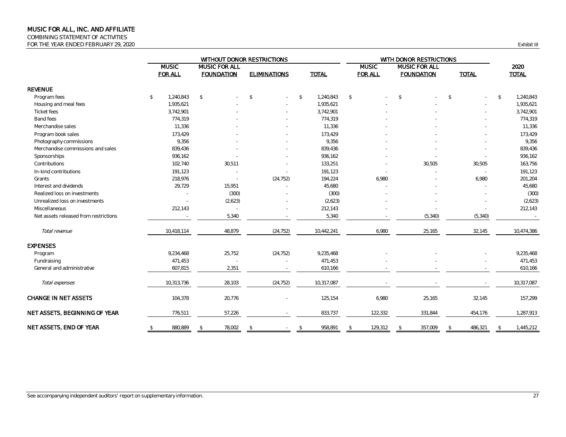COMBINING STATEMENT OF ACTIVITIES FOR THE YEAR ENDED FEBRUARY 29, 2020 COMPANY 1999 CONTROL SERVICE THE VEHICLE IN A SERVICE THE VEHICLE III

|                                       | WITHOUT DONOR RESTRICTIONS |                |               |                      |               |                     |              |              | WITH DONOR RESTRICTIONS |                |              |                      |               |              |              |              |
|---------------------------------------|----------------------------|----------------|---------------|----------------------|---------------|---------------------|--------------|--------------|-------------------------|----------------|--------------|----------------------|---------------|--------------|--------------|--------------|
|                                       |                            | <b>MUSIC</b>   |               | <b>MUSIC FOR ALL</b> |               |                     |              |              |                         | <b>MUSIC</b>   |              | <b>MUSIC FOR ALL</b> |               |              |              | 2020         |
|                                       |                            | <b>FOR ALL</b> |               | <b>FOUNDATION</b>    |               | <b>ELIMINATIONS</b> |              | <b>TOTAL</b> |                         | <b>FOR ALL</b> |              | <b>FOUNDATION</b>    |               | <b>TOTAL</b> |              | <b>TOTAL</b> |
| <b>REVENUE</b>                        |                            |                |               |                      |               |                     |              |              |                         |                |              |                      |               |              |              |              |
| Program fees                          | $\mathbb{S}$               | 1,240,843      | $\mathcal{L}$ |                      | $\mathbb{S}$  |                     | $\mathbb{S}$ | 1,240,843    | $$\mathbb{S}$$          |                | $\$$         |                      | $\mathcal{L}$ |              | $\mathbb{S}$ | 1,240,843    |
| Housing and meal fees                 |                            | 1,935,621      |               |                      |               |                     |              | 1,935,621    |                         |                |              |                      |               |              |              | 1,935,621    |
| <b>Ticket fees</b>                    |                            | 3,742,901      |               |                      |               |                     |              | 3,742,901    |                         |                |              |                      |               |              |              | 3,742,901    |
| <b>Band fees</b>                      |                            | 774,319        |               |                      |               |                     |              | 774,319      |                         |                |              |                      |               |              |              | 774,319      |
| Merchandise sales                     |                            | 11,336         |               |                      |               |                     |              | 11,336       |                         |                |              |                      |               |              |              | 11,336       |
| Program book sales                    |                            | 173,429        |               |                      |               |                     |              | 173,429      |                         |                |              |                      |               |              |              | 173,429      |
| Photography commissions               |                            | 9,356          |               |                      |               |                     |              | 9,356        |                         |                |              |                      |               |              |              | 9,356        |
| Merchandise commissions and sales     |                            | 839,436        |               |                      |               |                     |              | 839,436      |                         |                |              |                      |               |              |              | 839,436      |
| Sponsorships                          |                            | 936,162        |               |                      |               |                     |              | 936,162      |                         |                |              |                      |               |              |              | 936,162      |
| Contributions                         |                            | 102,740        |               | 30,511               |               |                     |              | 133,251      |                         |                |              | 30,505               |               | 30,505       |              | 163,756      |
| In-kind contributions                 |                            | 191,123        |               |                      |               |                     |              | 191,123      |                         |                |              |                      |               |              |              | 191,123      |
| Grants                                |                            | 218,976        |               |                      |               | (24, 752)           |              | 194,224      |                         | 6,980          |              |                      |               | 6,980        |              | 201,204      |
| Interest and dividends                |                            | 29,729         |               | 15,951               |               |                     |              | 45,680       |                         |                |              |                      |               |              |              | 45,680       |
| Realized loss on investments          |                            |                |               | (300)                |               |                     |              | (300)        |                         |                |              |                      |               |              |              | (300)        |
| Unrealized loss on investments        |                            |                |               | (2,623)              |               |                     |              | (2,623)      |                         |                |              |                      |               |              |              | (2,623)      |
| Miscellaneous                         |                            | 212,143        |               |                      |               |                     |              | 212,143      |                         |                |              |                      |               |              |              | 212,143      |
| Net assets released from restrictions |                            |                |               | 5,340                |               |                     |              | 5,340        |                         |                |              | (5, 340)             |               | (5, 340)     |              | $\sim$       |
| Total revenue                         |                            | 10,418,114     |               | 48,879               |               | (24, 752)           |              | 10,442,241   |                         | 6,980          |              | 25,165               |               | 32,145       |              | 10,474,386   |
| <b>EXPENSES</b>                       |                            |                |               |                      |               |                     |              |              |                         |                |              |                      |               |              |              |              |
| Program                               |                            | 9,234,468      |               | 25,752               |               | (24, 752)           |              | 9,235,468    |                         |                |              |                      |               |              |              | 9,235,468    |
| Fundraising                           |                            | 471,453        |               |                      |               |                     |              | 471,453      |                         |                |              |                      |               |              |              | 471,453      |
| General and administrative            |                            | 607,815        |               | 2,351                |               |                     |              | 610,166      |                         |                |              |                      |               |              |              | 610,166      |
| Total expenses                        |                            | 10,313,736     |               | 28,103               |               | (24, 752)           |              | 10,317,087   |                         |                |              |                      |               |              |              | 10,317,087   |
| <b>CHANGE IN NET ASSETS</b>           |                            | 104,378        |               | 20,776               |               |                     |              | 125,154      |                         | 6,980          |              | 25,165               |               | 32,145       |              | 157,299      |
| NET ASSETS, BEGINNING OF YEAR         |                            | 776,511        |               | 57,226               |               |                     |              | 833,737      |                         | 122,332        |              | 331,844              |               | 454,176      |              | 1,287,913    |
| NET ASSETS, END OF YEAR               | $\mathbb{S}$               | 880,889        | $\mathcal{L}$ | 78,002               | $\mathcal{L}$ |                     | $\mathbb{S}$ | 958,891      | $\mathcal{L}$           | 129,312        | $\mathbb{S}$ | 357,009              | $\mathcal{S}$ | 486,321      | \$           | 1,445,212    |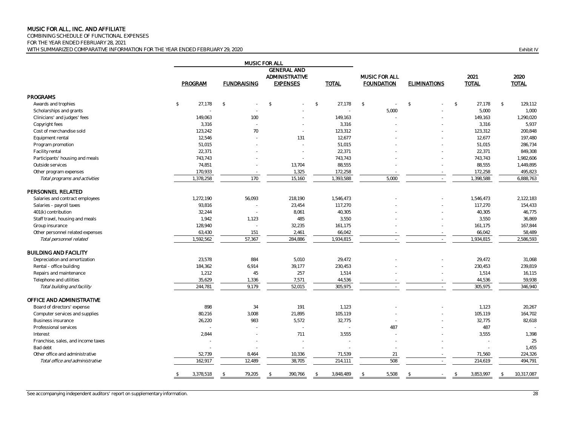COMBINING SCHEDULE OF FUNCTIONAL EXPENSES

FOR THE YEAR ENDED FEBRUARY 28, 2021

WITH SUMMARIZED COMPARATIVE INFORMATION FOR THE YEAR ENDED FEBRUARY 29, 2020 **Exhibit IV Exhibit IV Exhibit IV** 

|                                    |                  |                    | <b>MUSIC FOR ALL</b><br><b>GENERAL AND</b> |                        |                      |                     |                            |                             |  |
|------------------------------------|------------------|--------------------|--------------------------------------------|------------------------|----------------------|---------------------|----------------------------|-----------------------------|--|
|                                    |                  |                    | ADMINISTRATIVE                             | MUSIC FOR ALL          |                      | 2021                | 2020                       |                             |  |
|                                    | PROGRAM          | <b>FUNDRAISING</b> | <b>EXPENSES</b>                            | <b>TOTAL</b>           | <b>FOUNDATION</b>    | <b>ELIMINATIONS</b> | <b>TOTAL</b>               | <b>TOTAL</b>                |  |
| <b>PROGRAMS</b>                    |                  |                    |                                            |                        |                      |                     |                            |                             |  |
| Awards and trophies                | \$<br>27,178     | $\mathbb{S}$       | $\mathfrak{P}$                             | $\mathbb{S}$<br>27,178 | $$\mathbb{S}$$<br>÷. | $\mathcal{S}$<br>÷. | \$<br>27,178               | 129,112<br>$$\mathbb{S}$$   |  |
| Scholarships and grants            |                  |                    |                                            |                        | 5,000                |                     | 5,000                      | 1,000                       |  |
| Clinicians' and judges' fees       | 149,063          | 100                |                                            | 149,163                |                      |                     | 149,163                    | 1,290,020                   |  |
| Copyright fees                     | 3.316            |                    |                                            | 3,316                  |                      |                     | 3,316                      | 5,937                       |  |
| Cost of merchandise sold           | 123,242          | 70                 |                                            | 123,312                |                      |                     | 123,312                    | 200,848                     |  |
| Equipment rental                   | 12,546           |                    | 131                                        | 12,677                 |                      |                     | 12,677                     | 197,480                     |  |
| Program promotion                  | 51,015           |                    |                                            | 51,015                 |                      |                     | 51,015                     | 286,734                     |  |
| Facility rental                    | 22,371           |                    | $\sim$                                     | 22,371                 |                      |                     | 22,371                     | 849,308                     |  |
| Participants' housing and meals    | 743,743          |                    |                                            | 743,743                |                      |                     | 743,743                    | 1,982,606                   |  |
| Outside services                   | 74,851           |                    | 13,704                                     | 88,555                 |                      |                     | 88,555                     | 1,449,895                   |  |
| Other program expenses             | 170,933          |                    | 1,325                                      | 172,258                |                      |                     | 172,258                    | 495,823                     |  |
| Total programs and activities      | 1,378,258        | 170                | 15,160                                     | 1,393,588              | 5,000                | $\sim$              | 1,398,588                  | 6,888,763                   |  |
| PERSONNEL RELATED                  |                  |                    |                                            |                        |                      |                     |                            |                             |  |
| Salaries and contract employees    | 1,272,190        | 56,093             | 218,190                                    | 1,546,473              |                      |                     | 1,546,473                  | 2,122,183                   |  |
| Salaries - payroll taxes           | 93,816           |                    | 23,454                                     | 117,270                |                      |                     | 117,270                    | 154,433                     |  |
| 401(k) contribution                | 32,244           | $\sim$             | 8,061                                      | 40,305                 |                      |                     | 40,305                     | 46,775                      |  |
| Staff travel, housing and meals    | 1.942            | 1,123              | 485                                        | 3,550                  |                      |                     | 3,550                      | 36,869                      |  |
| Group insurance                    | 128,940          |                    | 32,235                                     | 161,175                |                      |                     | 161,175                    | 167,844                     |  |
| Other personnel related expenses   | 63,430           | 151                | 2,461                                      | 66,042                 |                      |                     | 66,042                     | 58,489                      |  |
| Total personnel related            | 1,592,562        | 57,367             | 284,886                                    | 1,934,815              |                      | $\sim$              | 1,934,815                  | 2,586,593                   |  |
| <b>BUILDING AND FACILITY</b>       |                  |                    |                                            |                        |                      |                     |                            |                             |  |
| Depreciation and amortization      | 23,578           | 884                | 5,010                                      | 29,472                 |                      |                     | 29,472                     | 31,068                      |  |
| Rental - office building           | 184,362          | 6,914              | 39,177                                     | 230,453                |                      |                     | 230,453                    | 239,819                     |  |
| Repairs and maintenance            | 1,212            | 45                 | 257                                        | 1,514                  |                      |                     | 1,514                      | 16,115                      |  |
| Telephone and utilities            | 35,629           | 1,336              | 7,571                                      | 44,536                 |                      |                     | 44,536                     | 59,938                      |  |
| Total building and facility        | 244,781          | 9,179              | 52,015                                     | 305,975                |                      |                     | 305,975                    | 346,940                     |  |
| OFFICE AND ADMINISTRATIVE          |                  |                    |                                            |                        |                      |                     |                            |                             |  |
| Board of directors' expense        | 898              | 34                 | 191                                        | 1,123                  |                      |                     | 1,123                      | 20,267                      |  |
| Computer services and supplies     | 80,216           | 3,008              | 21,895                                     | 105,119                |                      |                     | 105,119                    | 164,702                     |  |
| <b>Business insurance</b>          | 26,220           | 983                | 5,572                                      | 32,775                 |                      |                     | 32,775                     | 82,618                      |  |
| Professional services              |                  |                    | $\sim$                                     | ÷.                     | 487                  |                     | 487                        |                             |  |
| Interest                           | 2.844            |                    | 711                                        | 3,555                  |                      |                     | 3,555                      | 1,398                       |  |
| Franchise, sales, and income taxes |                  |                    |                                            |                        |                      |                     |                            | 25                          |  |
| Bad debt                           |                  |                    |                                            |                        |                      |                     |                            | 1,455                       |  |
| Other office and administrative    | 52,739           | 8,464              | 10,336                                     | 71,539                 | 21                   |                     | 71,560                     | 224,326                     |  |
| Total office and administrative    | 162,917          | 12,489             | 38,705                                     | 214,111                | 508                  | ÷.                  | 214,619                    | 494,791                     |  |
|                                    | 3,378,518<br>\$. | 79,205             | 390,766<br>\$                              | 3,848,489              | 5,508                | -S                  | 3,853,997<br>$\mathcal{L}$ | 10,317,087<br>$\mathcal{L}$ |  |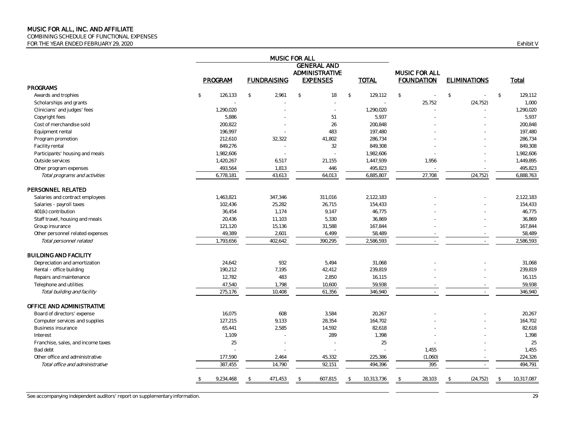COMBINING SCHEDULE OF FUNCTIONAL EXPENSES

FOR THE YEAR ENDED FEBRUARY 29, 2020 Exhibit V

|                                    | MUSIC FOR ALL<br><b>GENERAL AND</b> |                |                    |                     |               |              |              |                   |                     |              |            |
|------------------------------------|-------------------------------------|----------------|--------------------|---------------------|---------------|--------------|--------------|-------------------|---------------------|--------------|------------|
|                                    |                                     |                |                    | ADMINISTRATIVE      |               |              |              | MUSIC FOR ALL     |                     |              |            |
|                                    | PROGRAM                             |                | <b>FUNDRAISING</b> | <b>EXPENSES</b>     |               | <b>TOTAL</b> |              | <b>FOUNDATION</b> | <b>ELIMINATIONS</b> |              | Total      |
| PROGRAMS                           |                                     |                |                    |                     |               |              |              |                   |                     |              |            |
| Awards and trophies                | $\mathbb{S}$<br>126,133             | $$\mathbb{S}$$ | 2.961              | $\mathcal{L}$<br>18 | $\mathcal{L}$ | 129,112      | $\mathbb{S}$ |                   | $\mathcal{S}$       | $\mathbb{S}$ | 129,112    |
| Scholarships and grants            |                                     |                |                    |                     |               |              |              | 25,752            | (24, 752)           |              | 1,000      |
| Clinicians' and judges' fees       | 1,290,020                           |                |                    |                     |               | 1,290,020    |              |                   |                     |              | 1,290,020  |
| Copyright fees                     | 5,886                               |                |                    | 51                  |               | 5,937        |              |                   |                     |              | 5,937      |
| Cost of merchandise sold           | 200,822                             |                |                    | 26                  |               | 200,848      |              |                   |                     |              | 200,848    |
| Equipment rental                   | 196,997                             |                |                    | 483                 |               | 197,480      |              |                   |                     |              | 197,480    |
| Program promotion                  | 212,610                             |                | 32,322             | 41,802              |               | 286,734      |              |                   |                     |              | 286,734    |
| Facility rental                    | 849,276                             |                |                    | 32                  |               | 849,308      |              |                   |                     |              | 849,308    |
| Participants' housing and meals    | 1,982,606                           |                |                    |                     |               | 1,982,606    |              |                   |                     |              | 1,982,606  |
| Outside services                   | 1,420,267                           |                | 6,517              | 21,155              |               | 1,447,939    |              | 1,956             |                     |              | 1,449,895  |
| Other program expenses             | 493,564                             |                | 1,813              | 446                 |               | 495,823      |              |                   |                     |              | 495,823    |
| Total programs and activities      | 6,778,181                           |                | 43,613             | 64,013              |               | 6,885,807    |              | 27,708            | (24, 752)           |              | 6,888,763  |
| PERSONNEL RELATED                  |                                     |                |                    |                     |               |              |              |                   |                     |              |            |
| Salaries and contract employees    | 1,463,821                           |                | 347,346            | 311,016             |               | 2,122,183    |              |                   |                     |              | 2,122,183  |
| Salaries - payroll taxes           | 102,436                             |                | 25,282             | 26,715              |               | 154,433      |              |                   |                     |              | 154,433    |
| 401(k) contribution                | 36,454                              |                | 1,174              | 9,147               |               | 46,775       |              |                   |                     |              | 46,775     |
| Staff travel, housing and meals    | 20,436                              |                | 11,103             | 5,330               |               | 36,869       |              |                   |                     |              | 36,869     |
| Group insurance                    | 121,120                             |                | 15,136             | 31,588              |               | 167,844      |              |                   |                     |              | 167,844    |
| Other personnel related expenses   | 49,389                              |                | 2,601              | 6,499               |               | 58,489       |              |                   |                     |              | 58,489     |
| Total personnel related            | 1,793,656                           |                | 402,642            | 390,295             |               | 2,586,593    |              |                   |                     |              | 2,586,593  |
| <b>BUILDING AND FACILITY</b>       |                                     |                |                    |                     |               |              |              |                   |                     |              |            |
| Depreciation and amortization      | 24,642                              |                | 932                | 5,494               |               | 31,068       |              |                   |                     |              | 31,068     |
| Rental - office building           | 190,212                             |                | 7,195              | 42,412              |               | 239,819      |              |                   |                     |              | 239,819    |
| Repairs and maintenance            | 12,782                              |                | 483                | 2,850               |               | 16,115       |              |                   |                     |              | 16,115     |
| Telephone and utilities            | 47,540                              |                | 1,798              | 10,600              |               | 59,938       |              |                   |                     |              | 59,938     |
| Total building and facility        | 275,176                             |                | 10,408             | 61,356              |               | 346,940      |              |                   |                     |              | 346,940    |
| OFFICE AND ADMINISTRATIVE          |                                     |                |                    |                     |               |              |              |                   |                     |              |            |
| Board of directors' expense        | 16.075                              |                | 608                | 3,584               |               | 20,267       |              |                   |                     |              | 20,267     |
| Computer services and supplies     | 127,215                             |                | 9,133              | 28,354              |               | 164,702      |              |                   |                     |              | 164,702    |
| <b>Business insurance</b>          | 65,441                              |                | 2,585              | 14,592              |               | 82,618       |              |                   |                     |              | 82,618     |
| Interest                           | 1,109                               |                |                    | 289                 |               | 1,398        |              |                   |                     |              | 1,398      |
| Franchise, sales, and income taxes | 25                                  |                |                    | ÷,                  |               | 25           |              |                   |                     |              | 25         |
| Bad debt                           |                                     |                |                    |                     |               |              |              | 1,455             |                     |              | 1,455      |
| Other office and administrative    | 177,590                             |                | 2,464              | 45,332              |               | 225,386      |              | (1,060)           |                     |              | 224,326    |
| Total office and administrative    | 387,455                             |                | 14,790             | 92,151              |               | 494,396      |              | 395               |                     |              | 494,791    |
|                                    | 9,234,468                           |                | 471,453            | 607,815             |               | 10,313,736   |              | 28,103            | (24, 752)           |              | 10,317,087 |
|                                    |                                     |                |                    |                     |               |              |              |                   |                     |              |            |

See accompanying independent auditors' report on supplementary information. 29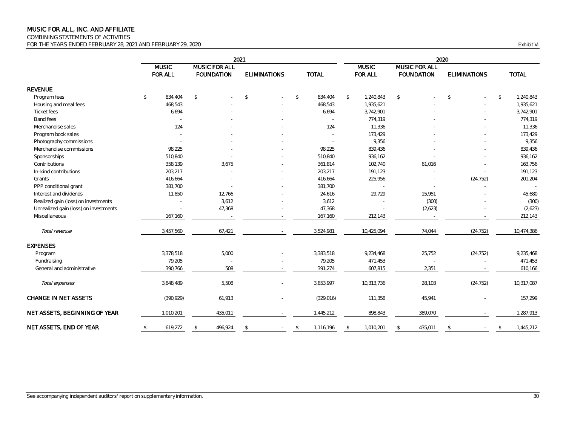COMBINING STATEMENTS OF ACTIVITIES

FOR THE YEARS ENDED FEBRUARY 28, 2021 AND FEBRUARY 29, 2020 Exhibit VI

|                                       |                                |                                    |              | 2020                |               |              |              |                                |              |                                    |              |                     |              |              |
|---------------------------------------|--------------------------------|------------------------------------|--------------|---------------------|---------------|--------------|--------------|--------------------------------|--------------|------------------------------------|--------------|---------------------|--------------|--------------|
|                                       | <b>MUSIC</b><br><b>FOR ALL</b> | MUSIC FOR ALL<br><b>FOUNDATION</b> |              | <b>ELIMINATIONS</b> |               | <b>TOTAL</b> |              | <b>MUSIC</b><br><b>FOR ALL</b> |              | MUSIC FOR ALL<br><b>FOUNDATION</b> |              | <b>ELIMINATIONS</b> |              | <b>TOTAL</b> |
| <b>REVENUE</b>                        |                                |                                    |              |                     |               |              |              |                                |              |                                    |              |                     |              |              |
| Program fees                          | 834,404<br>$\mathbb{S}$        | $\mathbb{S}$                       | $\mathbb{S}$ |                     | $\mathcal{L}$ | 834,404      | $\mathbb{S}$ | 1,240,843                      | $\mathbb{S}$ |                                    | $\mathbb{S}$ |                     | $\mathbb{S}$ | 1,240,843    |
| Housing and meal fees                 | 468,543                        |                                    |              |                     |               | 468,543      |              | 1,935,621                      |              |                                    |              |                     |              | 1,935,621    |
| Ticket fees                           | 6,694                          |                                    |              |                     |               | 6,694        |              | 3,742,901                      |              |                                    |              |                     |              | 3,742,901    |
| Band fees                             |                                |                                    |              |                     |               | $\sim$       |              | 774,319                        |              |                                    |              |                     |              | 774,319      |
| Merchandise sales                     |                                | 124                                |              |                     |               | 124          |              | 11,336                         |              |                                    |              |                     |              | 11,336       |
| Program book sales                    |                                |                                    |              |                     |               |              |              | 173,429                        |              |                                    |              |                     |              | 173,429      |
| Photography commissions               |                                |                                    |              |                     |               |              |              | 9,356                          |              |                                    |              |                     |              | 9,356        |
| Merchandise commissions               | 98,225                         |                                    |              |                     |               | 98,225       |              | 839,436                        |              |                                    |              |                     |              | 839,436      |
| Sponsorships                          | 510,840                        |                                    |              |                     |               | 510,840      |              | 936,162                        |              |                                    |              |                     |              | 936,162      |
| Contributions                         | 358,139                        | 3,675                              |              |                     |               | 361,814      |              | 102,740                        |              | 61,016                             |              |                     |              | 163,756      |
| In-kind contributions                 | 203,217                        |                                    |              |                     |               | 203,217      |              | 191,123                        |              |                                    |              |                     |              | 191,123      |
| Grants                                | 416,664                        |                                    |              |                     |               | 416,664      |              | 225,956                        |              |                                    |              | (24, 752)           |              | 201,204      |
| PPP conditional grant                 | 381,700                        |                                    |              |                     |               | 381,700      |              |                                |              |                                    |              |                     |              |              |
| Interest and dividends                | 11,850                         | 12,766                             |              |                     |               | 24,616       |              | 29,729                         |              | 15,951                             |              |                     |              | 45,680       |
| Realized gain (loss) on investments   |                                | 3,612                              |              |                     |               | 3,612        |              |                                |              | (300)                              |              |                     |              | (300)        |
| Unrealized gain (loss) on investments |                                | 47,368                             |              |                     |               | 47,368       |              |                                |              | (2,623)                            |              |                     |              | (2,623)      |
| Miscellaneous                         | 167,160                        |                                    |              |                     |               | 167,160      |              | 212,143                        |              |                                    |              |                     |              | 212,143      |
| Total revenue                         | 3,457,560                      | 67,421                             |              |                     |               | 3,524,981    |              | 10,425,094                     |              | 74,044                             |              | (24, 752)           |              | 10,474,386   |
| <b>EXPENSES</b>                       |                                |                                    |              |                     |               |              |              |                                |              |                                    |              |                     |              |              |
| Program                               | 3,378,518                      | 5,000                              |              |                     |               | 3,383,518    |              | 9,234,468                      |              | 25,752                             |              | (24, 752)           |              | 9,235,468    |
| Fundraising                           | 79,205                         |                                    |              |                     |               | 79,205       |              | 471,453                        |              |                                    |              |                     |              | 471,453      |
| General and administrative            | 390,766                        | 508                                |              |                     |               | 391,274      |              | 607,815                        |              | 2,351                              |              |                     |              | 610,166      |
| Total expenses                        | 3,848,489                      | 5,508                              |              |                     |               | 3,853,997    |              | 10,313,736                     |              | 28,103                             |              | (24, 752)           |              | 10,317,087   |
| <b>CHANGE IN NET ASSETS</b>           | (390, 929)                     | 61,913                             |              |                     |               | (329, 016)   |              | 111,358                        |              | 45,941                             |              |                     |              | 157,299      |
| NET ASSETS, BEGINNING OF YEAR         | 1,010,201                      | 435,011                            |              |                     |               | 1,445,212    |              | 898,843                        |              | 389,070                            |              |                     |              | 1,287,913    |
| NET ASSETS, END OF YEAR               | 619,272<br>S.                  | 496,924<br>S.                      | -S           |                     | -S            | 1,116,196    | S            | 1,010,201                      |              | 435,011                            | S            |                     |              | 1,445,212    |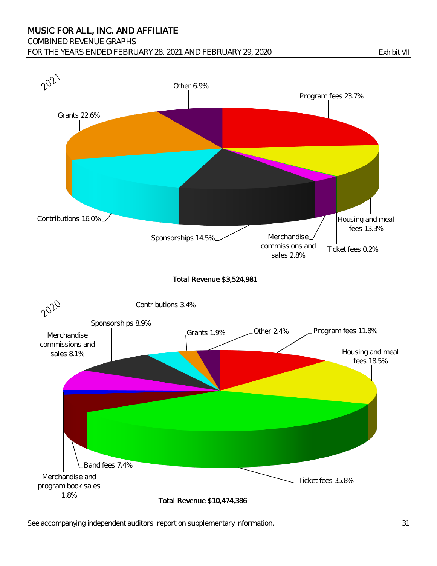#### COMBINED REVENUE GRAPHS

FOR THE YEARS ENDED FEBRUARY 28, 2021 AND FEBRUARY 29, 2020 Exhibit VII